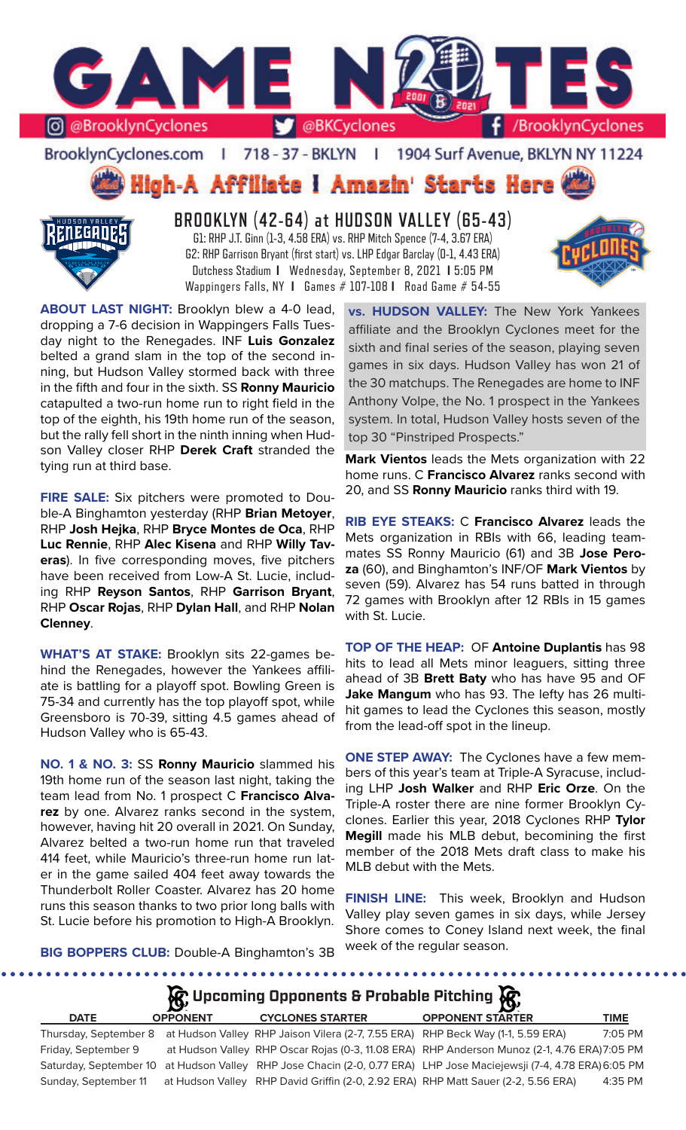

BrooklynCyclones.com | 718 - 37 - BKLYN | 1904 Surf Avenue, BKLYN NY 11224

# High-A Affiliate I Amazin' Starts Here



**BROOKLYN (42-64) at HUDSON VALLEY (65-43)** G1: RHP J.T. Ginn (1-3, 4.58 ERA) vs. RHP Mitch Spence (7-4, 3.67 ERA) G2: RHP Garrison Bryant (first start) vs. LHP Edgar Barclay (0-1, 4.43 ERA) Dutchess Stadium **I** Wednesday, September 8, 2021 **I** 5:05 PM Wappingers Falls, NY **I** Games # 107-108 **I** Road Game # 54-55



**ABOUT LAST NIGHT:** Brooklyn blew a 4-0 lead, dropping a 7-6 decision in Wappingers Falls Tuesday night to the Renegades. INF **Luis Gonzalez**  belted a grand slam in the top of the second inning, but Hudson Valley stormed back with three in the fifth and four in the sixth. SS **Ronny Mauricio**  catapulted a two-run home run to right field in the top of the eighth, his 19th home run of the season, but the rally fell short in the ninth inning when Hudson Valley closer RHP **Derek Craft** stranded the tying run at third base.

**FIRE SALE:** Six pitchers were promoted to Double-A Binghamton yesterday (RHP **Brian Metoyer**, RHP **Josh Hejka**, RHP **Bryce Montes de Oca**, RHP **Luc Rennie**, RHP **Alec Kisena** and RHP **Willy Taveras**). In five corresponding moves, five pitchers have been received from Low-A St. Lucie, including RHP **Reyson Santos**, RHP **Garrison Bryant**, RHP **Oscar Rojas**, RHP **Dylan Hall**, and RHP **Nolan Clenney**.

**WHAT'S AT STAKE:** Brooklyn sits 22-games behind the Renegades, however the Yankees affiliate is battling for a playoff spot. Bowling Green is 75-34 and currently has the top playoff spot, while Greensboro is 70-39, sitting 4.5 games ahead of Hudson Valley who is 65-43.

**NO. 1 & NO. 3:** SS **Ronny Mauricio** slammed his 19th home run of the season last night, taking the team lead from No. 1 prospect C **Francisco Alvarez** by one. Alvarez ranks second in the system, however, having hit 20 overall in 2021. On Sunday, Alvarez belted a two-run home run that traveled 414 feet, while Mauricio's three-run home run later in the game sailed 404 feet away towards the Thunderbolt Roller Coaster. Alvarez has 20 home runs this season thanks to two prior long balls with St. Lucie before his promotion to High-A Brooklyn.

**vs. HUDSON VALLEY:** The New York Yankees affiliate and the Brooklyn Cyclones meet for the sixth and final series of the season, playing seven games in six days. Hudson Valley has won 21 of the 30 matchups. The Renegades are home to INF Anthony Volpe, the No. 1 prospect in the Yankees system. In total, Hudson Valley hosts seven of the top 30 "Pinstriped Prospects."

**Mark Vientos** leads the Mets organization with 22 home runs. C **Francisco Alvarez** ranks second with 20, and SS **Ronny Mauricio** ranks third with 19.

**RIB EYE STEAKS:** C **Francisco Alvarez** leads the Mets organization in RBIs with 66, leading teammates SS Ronny Mauricio (61) and 3B **Jose Peroza** (60), and Binghamton's INF/OF **Mark Vientos** by seven (59). Alvarez has 54 runs batted in through 72 games with Brooklyn after 12 RBIs in 15 games with St. Lucie.

**TOP OF THE HEAP:** OF **Antoine Duplantis** has 98 hits to lead all Mets minor leaguers, sitting three ahead of 3B **Brett Baty** who has have 95 and OF **Jake Mangum** who has 93. The lefty has 26 multihit games to lead the Cyclones this season, mostly from the lead-off spot in the lineup.

**ONE STEP AWAY:** The Cyclones have a few members of this year's team at Triple-A Syracuse, including LHP **Josh Walker** and RHP **Eric Orze**. On the Triple-A roster there are nine former Brooklyn Cyclones. Earlier this year, 2018 Cyclones RHP **Tylor Megill** made his MLB debut, becomining the first member of the 2018 Mets draft class to make his MLB debut with the Mets.

**FINISH LINE:** This week, Brooklyn and Hudson Valley play seven games in six days, while Jersey Shore comes to Coney Island next week, the final week of the regular season.

**BIG BOPPERS CLUB:** Double-A Binghamton's 3B



Sunday, September 11 at Hudson Valley RHP David Griffin (2-0, 2.92 ERA) RHP Matt Sauer (2-2, 5.56 ERA) 4:35 PM

Saturday, September 10 at Hudson Valley RHP Jose Chacin (2-0, 0.77 ERA) LHP Jose Maciejewsji (7-4, 4.78 ERA) 6:05 PM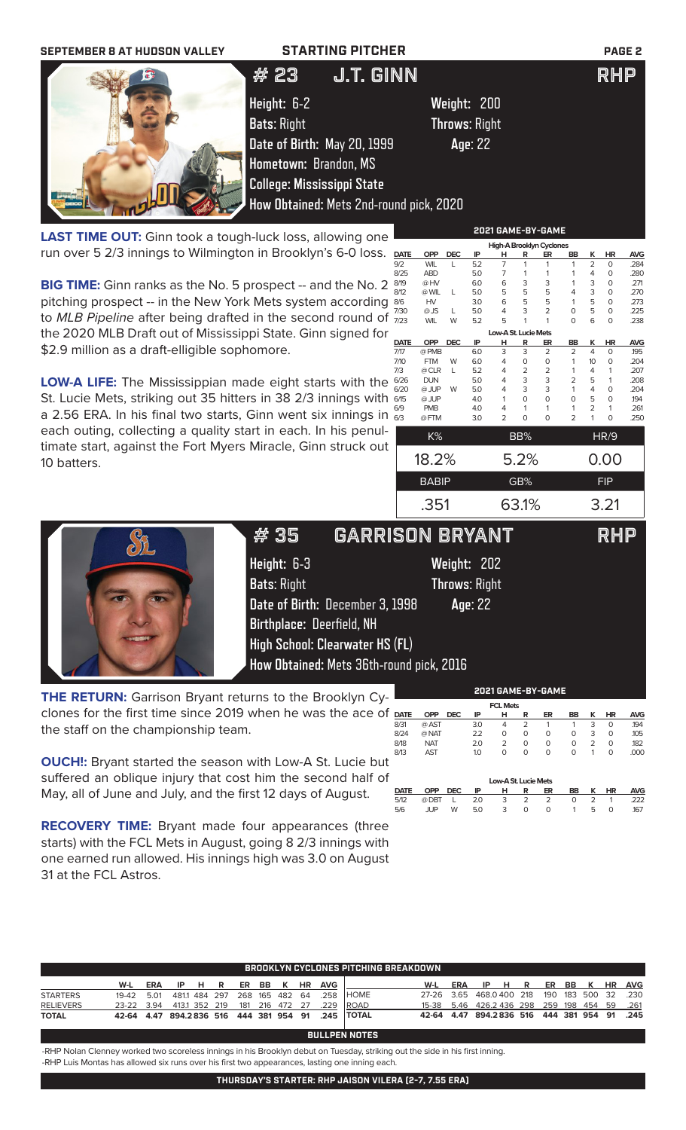| <b>STARTING PITCHER</b><br><b>SEPTEMBER 8 AT HUDSON VALLEY</b>                |                                         |    |              |                      |             |                                            |                                 |  |               | <b>PAGE 2</b> |                |                      |              |
|-------------------------------------------------------------------------------|-----------------------------------------|----|--------------|----------------------|-------------|--------------------------------------------|---------------------------------|--|---------------|---------------|----------------|----------------------|--------------|
| J.T. GINN<br># 23                                                             |                                         |    |              |                      |             |                                            |                                 |  |               |               | RHP            |                      |              |
|                                                                               | Height: 6-2                             |    |              | Weight: 200          |             |                                            |                                 |  |               |               |                |                      |              |
|                                                                               | <b>Bats: Right</b>                      |    |              | <b>Throws: Right</b> |             |                                            |                                 |  |               |               |                |                      |              |
|                                                                               | Date of Birth: May 20, 1999             |    |              |                      | Age: 22     |                                            |                                 |  |               |               |                |                      |              |
|                                                                               | Hometown: Brandon, MS                   |    |              |                      |             |                                            |                                 |  |               |               |                |                      |              |
|                                                                               |                                         |    |              |                      |             |                                            |                                 |  |               |               |                |                      |              |
|                                                                               | <b>College: Mississippi State</b>       |    |              |                      |             |                                            |                                 |  |               |               |                |                      |              |
|                                                                               | How Obtained: Mets 2nd-round pick, 2020 |    |              |                      |             |                                            |                                 |  |               |               |                |                      |              |
|                                                                               |                                         |    |              |                      |             |                                            | 2021 GAME-BY-GAME               |  |               |               |                |                      |              |
| <b>LAST TIME OUT:</b> Ginn took a tough-luck loss, allowing one               |                                         |    |              |                      |             |                                            | <b>High-A Brooklyn Cyclones</b> |  |               |               |                |                      |              |
| run over 5 2/3 innings to Wilmington in Brooklyn's 6-0 loss.                  |                                         |    | <b>DATE</b>  | <b>OPP</b>           | <b>DEC</b>  |                                            |                                 |  |               | BB            |                | <b>HR</b>            | <b>AVG</b>   |
|                                                                               |                                         |    | 9/2          | <b>WIL</b>           |             | 5.2                                        |                                 |  |               |               | $\overline{2}$ | $\Omega$             | .284         |
|                                                                               |                                         |    | 8/25         | <b>ABD</b>           |             | 5.0                                        |                                 |  |               |               |                |                      | .280         |
| BIG TIME: Ginn ranks as the No. 5 prospect -- and the No. 2                   |                                         |    | 8/19<br>8/12 | @ HV<br>@ WIL        |             | 6.0<br>5.0                                 |                                 |  | $\frac{3}{5}$ |               | 3<br>3         | $\Omega$<br>$\Omega$ | .271<br>.270 |
| pitching prospect -- in the New York Mets system according 86                 |                                         | HV |              | 3.0                  | 6<br>5<br>6 | $\begin{array}{c} 3 \\ 5 \\ 5 \end{array}$ | 5                               |  | 5             | $\Omega$      | .273           |                      |              |
| to MLB Pipeline after being drafted in the second round of $\frac{7730}{723}$ |                                         |    |              |                      |             | 5.0                                        |                                 |  |               |               |                | $\Omega$             | .225         |
|                                                                               |                                         |    |              | <b>WIL</b>           |             | 5.2                                        |                                 |  |               |               | 6              |                      | .238         |
| the 2020 MLB Draft out of Mississippi State. Ginn signed for                  |                                         |    |              |                      |             |                                            | Low-A St. Lucie Mets            |  |               |               |                |                      |              |

\$2.9 million as a draft-elligible sophomore.

**LOW-A LIFE:** The Mississippian made eight starts with the St. Lucie Mets, striking out 35 hitters in 38 2/3 innings with a 2.56 ERA. In his final two starts, Ginn went six innings in each outing, collecting a quality start in each. In his penultimate start, against the Fort Myers Miracle, Ginn struck out 10 batters.

| 8/12        | @ VVIL       | L          | 5.U | ל                    | 5        | ь              | 4              | 3  | Ü           | .270       |
|-------------|--------------|------------|-----|----------------------|----------|----------------|----------------|----|-------------|------------|
| 8/6         | HV           |            | 3.0 | 6                    | 5        | 5              | 1              | 5  | 0           | .273       |
| 7/30        | @JS          | L          | 5.0 | 4                    | 3        | $\overline{2}$ | 0              | 5  | $\Omega$    | .225       |
| 7/23        | <b>WIL</b>   | W          | 5.2 | 5                    | 1        | 1              | 0              | 6  | 0           | .238       |
|             |              |            |     | Low-A St. Lucie Mets |          |                |                |    |             |            |
| <b>DATE</b> | <b>OPP</b>   | <b>DEC</b> | IP  | н                    | R        | ER             | BB             | ĸ  | HR          | <b>AVG</b> |
| 7/17        | @ PMB        |            | 6.0 | 3                    | 3        | $\overline{2}$ | $\overline{2}$ | 4  | $\Omega$    | .195       |
| 7/10        | <b>FTM</b>   | W          | 6.0 | 4                    | O        | $\Omega$       | 1              | 10 | 0           | .204       |
| 7/3         | @ CLR        | L          | 5.2 | 4                    | 2        | 2              | 1              | 4  | 1           | .207       |
| 6/26        | <b>DUN</b>   |            | 5.0 | 4                    | 3        | 3              | 2              | 5  | 1           | .208       |
| 6/20        | @ JUP        | W          | 5.0 | 4                    | 3        | 3              | 1              | 4  | $\Omega$    | .204       |
| 6/15        | @ JUP        |            | 4.0 | 1                    | $\Omega$ | $\Omega$       | 0              | 5  | $\mathbf 0$ | 194        |
| 6/9         | <b>PMB</b>   |            | 4.0 | 4                    | 1        | 1              | 1              | 2  | 1           | .261       |
| 6/3         | @FTM         |            | 3.0 | $\overline{2}$       | 0        | $\Omega$       | 2              | 1  | 0           | .250       |
|             | K%           |            |     |                      | BB%      |                |                |    | HR/9        |            |
|             |              |            |     |                      |          |                |                |    |             |            |
|             | 18.2%        |            |     |                      | 5.2%     |                |                |    | 0.00        |            |
|             | <b>BABIP</b> |            |     |                      | GB%      |                |                |    | <b>FIP</b>  |            |
|             |              |            |     |                      |          |                |                |    |             |            |
|             | .351         |            |     |                      | 63.1%    |                |                |    | 3.21        |            |
|             |              |            |     |                      |          |                |                |    |             |            |

**2021 GAME-BY-GAME**

8/18 NAT 2.0 2 0 0 0 2 0 .182

 **Low-A St. Lucie Mets DATE OPP DEC IP H R ER BB K HR AVG** 5/12 @ DBT L 2.0 3 2 2 0 2 1 .222 5/6 JUP W 5.0 3 0 0 1 5 0 .167

**FCLM** 



| #35                                      | GARRISON BRYANT                  |                      |  | RHP |  |  |  |  |
|------------------------------------------|----------------------------------|----------------------|--|-----|--|--|--|--|
| Height: $6-3$                            |                                  | Weight: 202          |  |     |  |  |  |  |
| <b>Bats: Right</b>                       |                                  | <b>Throws: Right</b> |  |     |  |  |  |  |
|                                          | Date of Birth: December 3, 1998  | Age: 22              |  |     |  |  |  |  |
|                                          | <b>Birthplace: Deerfield, NH</b> |                      |  |     |  |  |  |  |
| <b>High School: Clearwater HS (FL)</b>   |                                  |                      |  |     |  |  |  |  |
| How Obtained: Mets 36th-round pick, 2016 |                                  |                      |  |     |  |  |  |  |

**THE RETURN:** Garrison Bryant returns to the Brooklyn Cyclones for the first time since 2019 when he was the ace of DATE the staff on the championship team. **DATE OPP DEC IP H R ER BB K HR AVG** 8/31 @ AST 3.0 4 2 1 1 3 0 .194 8/24 @ NAT 2.2 0 0 0 0 3 0 .105

**OUCH!:** Bryant started the season with Low-A St. Lucie but suffered an oblique injury that cost him the second half of May, all of June and July, and the first 12 days of August. 8/13 AST 1.0 0 0 0 0 1 0 .000

**RECOVERY TIME:** Bryant made four appearances (three starts) with the FCL Mets in August, going 8 2/3 innings with one earned run allowed. His innings high was 3.0 on August 31 at the FCL Astros.

| BROOKLYN CYCLONES PITCHING BREAKDOWN |            |      |               |              |   |     |     |                |      |            |                      |       |      |              |    |   |     |     |         |           |            |
|--------------------------------------|------------|------|---------------|--------------|---|-----|-----|----------------|------|------------|----------------------|-------|------|--------------|----|---|-----|-----|---------|-----------|------------|
|                                      | W-L        | ERA  | IP            | . н          | R | ER  | BB. | ĸ              | HR   | <b>AVG</b> |                      | W-L   | ERA  | IP           | н. | R | ER  | BB  | K       | <b>HR</b> | <b>AVG</b> |
| <b>STARTERS</b>                      | 19-42      | 5.01 |               | 4811 484 297 |   |     |     | 268 165 482 64 |      | .258       | <b>I</b> HOME        | 27-26 | 3.65 | 468.0400 218 |    |   | 190 | 183 | 500     | 32        | .230       |
| <b>RELIEVERS</b>                     | 23-22 3.94 |      | 413.1 352 219 |              |   | 181 |     | 216 472        | - 27 | .229       | <b>IROAD</b>         | 15-38 | 5.46 | 426.2436 298 |    |   | 259 | 198 | 454     | 59        | .261       |
| <b>TOTAL</b>                         | 42-64 4.47 |      | 894.2836 516  |              |   |     |     | 444 381 954 91 |      | .245       | <b>ITOTAL</b>        | 42-64 | 4.47 | 894.2836 516 |    |   | 444 |     | 381 954 | 91        | .245       |
|                                      |            |      |               |              |   |     |     |                |      |            | <b>BULLPEN NOTES</b> |       |      |              |    |   |     |     |         |           |            |

-RHP Nolan Clenney worked two scoreless innings in his Brooklyn debut on Tuesday, striking out the side in his first inning. -RHP Luis Montas has allowed six runs over his first two appearances, lasting one inning each.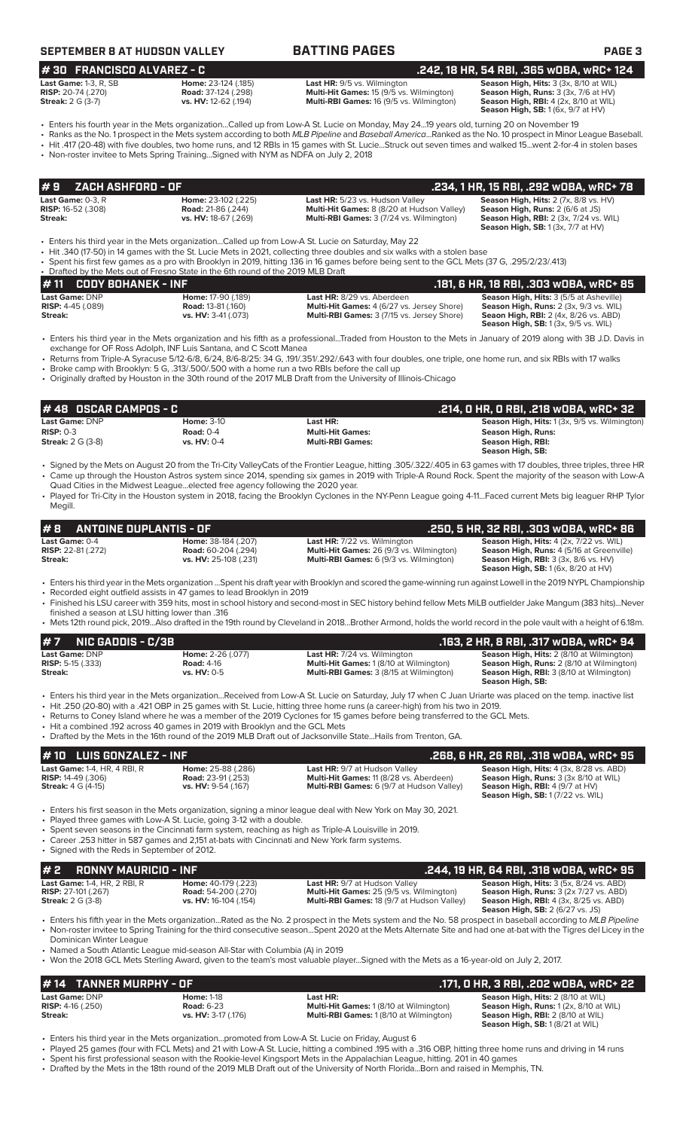| SEPTEMBER 8 AT HUDSON VALLEY |  |  |
|------------------------------|--|--|
|------------------------------|--|--|

### **BATTING PAGES BATTING PAGE 3**

**# 30 FRANCISCO ALVAREZ - C .242, 18 HR, 54 RBI, .365 wOBA, wRC+ 124**

| <b>Last Game:</b> 1-3, R, SB |  |
|------------------------------|--|
| <b>RISP:</b> 20-74 (.270)    |  |
| <b>Streak:</b> 2 G (3-7)     |  |

**Last HR:** 9/5 vs. Wilmington **Season High, Hits:** 3 (3x, 8/10 at WIL **Road:** 37-124 (.298) **Last HR: 9/5** vs. Wilmington **Season High, Runs:** 3 (3x, 7/6 at HV) **Road:** 37-124 (.298) **Road:** *Read: 37-124 (.298)* **Season High, Read:** *Read: 37-124 (.298)* **Season High, Runs:** *At Hulli-RBI Games: 16 (9/5 vs. Wilmington)* **In American High, American High, American High, American High Multi-RBI Games:** 16 (9/5 vs. Wilmington)

**Season High, RBI:**  $4$  (2x, 8/10 at WIL)<br>**Season High, RBI:**  $4$  (2x, 8/10 at WIL)<br>**Season High, SB:** 1 (6x, 9/7 at HV)

• Enters his fourth year in the Mets organization...Called up from Low-A St. Lucie on Monday, May 24...19 years old, turning 20 on November 19 • Ranks as the No. 1 prospect in the Mets system according to both *MLB Pipeline* and *Baseball America*...Ranked as the No. 10 prospect in Minor League Baseball.

• Hit .417 (20-48) with five doubles, two home runs, and 12 RBIs in 15 games with St. Lucie...Struck out seven times and walked 15...went 2-for-4 in stolen bases

• Non-roster invitee to Mets Spring Training...Signed with NYM as NDFA on July 2, 2018

|                                       |                           |                                                   | .234, 1 HR, 15 RBI, .292 wOBA, wRC+ 78                  |
|---------------------------------------|---------------------------|---------------------------------------------------|---------------------------------------------------------|
| <b>Last Game: <math>0-3</math>. R</b> | Home: 23-102 (.225)       | Last HR: 5/23 vs. Hudson Valley                   | <b>Season High, Hits:</b> $2$ ( $7x$ , $8/8$ vs. $HV$ ) |
| <b>RISP:</b> 16-52 (.308)             | <b>Road:</b> 21-86 (.244) | <b>Multi-Hit Games:</b> 8 (8/20 at Hudson Valley) | <b>Season High, Runs: 2 (6/6 at JS)</b>                 |
| Streak:                               | vs. HV: 18-67 (.269)      | <b>Multi-RBI Games: 3 (7/24 vs. Wilmington)</b>   | <b>Season High, RBI:</b> 2 (3x, 7/24 vs. WIL)           |
|                                       |                           |                                                   | <b>Season High, SB:</b> $1(3x, 7/7$ at $HV$ )           |

• Enters his third year in the Mets organization...Called up from Low-A St. Lucie on Saturday, May 22

• Hit .340 (17-50) in 14 games with the St. Lucie Mets in 2021, collecting three doubles and six walks with a stolen base

• Spent his first few games as a pro with Brooklyn in 2019, hitting .136 in 16 games before being sent to the GCL Mets (37 G, .295/2/23/.413)

|                            | • Drafted by the Mets out of Fresno State in the 6th round of the 2019 MLB Draft |                           |                                                   |                                                |  |  |  |  |
|----------------------------|----------------------------------------------------------------------------------|---------------------------|---------------------------------------------------|------------------------------------------------|--|--|--|--|
|                            | $# 11$ CODY BOHANEK - INF                                                        |                           |                                                   | .181. 6 HR. 18 RBI. .303 WOBA. WRC+ 85         |  |  |  |  |
| Last Game: DNP             |                                                                                  | Home: 17-90 (.189)        | Last HR: 8/29 vs. Aberdeen                        | <b>Season High, Hits: 3 (5/5 at Asheville)</b> |  |  |  |  |
| <b>RISP:</b> $4-45$ (.089) |                                                                                  | <b>Road: 13-81 (.160)</b> | <b>Multi-Hit Games:</b> 4 (6/27 vs. Jersey Shore) | <b>Season High, Runs:</b> 2 (3x, 9/3 vs. WIL)  |  |  |  |  |
| Streak:                    |                                                                                  | vs. HV: 3-41 (.073)       | <b>Multi-RBI Games: 3 (7/15 vs. Jersey Shore)</b> | <b>Seaon High, RBI:</b> 2 (4x, 8/26 vs. ABD)   |  |  |  |  |
|                            |                                                                                  |                           |                                                   | <b>Season High, SB:</b> 1 (3x, 9/5 vs. WIL)    |  |  |  |  |

• Enters his third year in the Mets organization and his fifth as a professional...Traded from Houston to the Mets in January of 2019 along with 3B J.D. Davis in exchange for OF Ross Adolph, INF Luis Santana, and C Scott Manea

• Returns from Triple-A Syracuse 5/12-6/8, 6/24, 8/6-8/25: 34 G, .191/.351/.292/.643 with four doubles, one triple, one home run, and six RBIs with 17 walks • Broke camp with Brooklyn: 5 G, .313/.500/.500 with a home run a two RBIs before the call up

• Originally drafted by Houston in the 30th round of the 2017 MLB Draft from the University of Illinois-Chicago

| $\bm{\#}$ 48 $\,$ OSCAR CAMPOS - C $\,$ |                   |                         | . .214, 0 HR, 0 RBI, .218 w0BA, wRC+ 32 .           |
|-----------------------------------------|-------------------|-------------------------|-----------------------------------------------------|
| Last Game: DNP                          | <b>Home: 3-10</b> | Last HR:                | <b>Season High, Hits:</b> 1(3x, 9/5 vs. Wilmington) |
| $RISP: 0-3$                             | Road: $0-4$       | <b>Multi-Hit Games:</b> | <b>Season High, Runs:</b>                           |
| <b>Streak:</b> 2 G (3-8)                | vs. HV: 0-4       | <b>Multi-RBI Games:</b> | Season High, RBI:                                   |
|                                         |                   |                         | Season High, SB:                                    |

• Signed by the Mets on August 20 from the Tri-City ValleyCats of the Frontier League, hitting .305/.322/.405 in 63 games with 17 doubles, three triples, three HR • Came up through the Houston Astros system since 2014, spending six games in 2019 with Triple-A Round Rock. Spent the majority of the season with Low-A Quad Cities in the Midwest League...elected free agency following the 2020 year.

• Played for Tri-City in the Houston system in 2018, facing the Brooklyn Cyclones in the NY-Penn League going 4-11...Faced current Mets big leaguer RHP Tylor Megill.

| $\#$ 8 ANTOINE DUPLANTIS - OF                                 |                                                                            |                                                                                                                                          | .250, 5 HR, 32 RBI, .303 wOBA, wRC+ 86                                                                                                                       |
|---------------------------------------------------------------|----------------------------------------------------------------------------|------------------------------------------------------------------------------------------------------------------------------------------|--------------------------------------------------------------------------------------------------------------------------------------------------------------|
| <b>Last Game:</b> 0-4<br><b>RISP:</b> 22-81 (.272)<br>Streak: | Home: 38-184 (.207)<br><b>Road:</b> 60-204 (.294)<br>vs. HV: 25-108 (.231) | <b>Last HR:</b> 7/22 vs. Wilmington<br><b>Multi-Hit Games: 26 (9/3 vs. Wilmington)</b><br><b>Multi-RBI Games:</b> 6 (9/3 vs. Wilmington) | <b>Season High, Hits: 4 (2x, 7/22 vs. WIL)</b><br><b>Season High, Runs: 4 (5/16 at Greenville)</b><br><b>Season High, RBI:</b> $3$ ( $3x$ , $8/6$ vs. $HV$ ) |
|                                                               |                                                                            |                                                                                                                                          | <b>Season High, SB:</b> 1 (6x, 8/20 at HV)                                                                                                                   |

• Enters his third year in the Mets organization ...Spent his draft year with Brooklyn and scored the game-winning run against Lowell in the 2019 NYPL Championship

• Recorded eight outfield assists in 47 games to lead Brooklyn in 2019

• Finished his LSU career with 359 hits, most in school history and second-most in SEC history behind fellow Mets MiLB outfielder Jake Mangum (383 hits)...Never finished a season at LSU hitting lower than .316

• Mets 12th round pick, 2019...Also drafted in the 19th round by Cleveland in 2018...Brother Armond, holds the world record in the pole vault with a height of 6.18m.

| <b>#7</b><br>NIC GADDIS - C/3B                                                                |                                                                        |                                                                                                                                                                                                                                                                                                                                                                                                                                                                                                                                               | .163, 2 HR, 8 RBI, .317 wOBA, wRC+ 94                                                                                                                         |
|-----------------------------------------------------------------------------------------------|------------------------------------------------------------------------|-----------------------------------------------------------------------------------------------------------------------------------------------------------------------------------------------------------------------------------------------------------------------------------------------------------------------------------------------------------------------------------------------------------------------------------------------------------------------------------------------------------------------------------------------|---------------------------------------------------------------------------------------------------------------------------------------------------------------|
| Last Game: DNP<br><b>RISP:</b> 5-15 $(.333)$<br>Streak:                                       | Home: 2-26 (.077)<br><b>Road: 4-16</b><br>vs. HV: 0-5                  | <b>Last HR:</b> 7/24 vs. Wilmington<br><b>Multi-Hit Games: 1 (8/10 at Wilmington)</b><br><b>Multi-RBI Games: 3 (8/15 at Wilmington)</b>                                                                                                                                                                                                                                                                                                                                                                                                       | Season High, Hits: 2 (8/10 at Wilmington)<br>Season High, Runs: 2 (8/10 at Wilmington)<br><b>Season High, RBI: 3 (8/10 at Wilmington)</b><br>Season High, SB: |
| • Hit a combined 192 across 40 games in 2019 with Brooklyn and the GCL Mets                   |                                                                        | • Enters his third year in the Mets organizationReceived from Low-A St. Lucie on Saturday, July 17 when C Juan Uriarte was placed on the temp. inactive list<br>• Hit .250 (20-80) with a .421 OBP in 25 games with St. Lucie, hitting three home runs (a career-high) from his two in 2019.<br>. Returns to Coney Island where he was a member of the 2019 Cyclones for 15 games before being transferred to the GCL Mets.<br>. Drafted by the Mets in the 16th round of the 2019 MLB Draft out of Jacksonville StateHails from Trenton, GA. |                                                                                                                                                               |
| # 10 LUIS GONZALEZ - INF                                                                      |                                                                        |                                                                                                                                                                                                                                                                                                                                                                                                                                                                                                                                               | .268, 6 HR, 26 RBI, .318 WOBA, WRC+ 95                                                                                                                        |
| <b>Last Game: 1-4, HR, 4 RBI, R</b><br><b>RISP:</b> 14-49 (.306)<br><b>Streak: 4 G (4-15)</b> | Home: 25-88 (.286)<br><b>Road: 23-91 (.253)</b><br>vs. HV: 9-54 (.167) | Last HR: 9/7 at Hudson Valley<br><b>Multi-Hit Games: 11 (8/28 vs. Aberdeen)</b><br>Multi-RBI Games: 6 (9/7 at Hudson Valley)                                                                                                                                                                                                                                                                                                                                                                                                                  | Season High, Hits: 4 (3x, 8/28 vs. ABD)<br>Season High, Runs: 3 (3x 8/10 at WIL)<br>Season High, RBI: 4 (9/7 at HV)                                           |

• Enters his first season in the Mets organization, signing a minor league deal with New York on May 30, 2021.

- Played three games with Low-A St. Lucie, going 3-12 with a double.
- Spent seven seasons in the Cincinnati farm system, reaching as high as Triple-A Louisville in 2019.
- Career .253 hitter in 587 games and 2,151 at-bats with Cincinnati and New York farm systems. Signed with the Reds in September of 2012.

| $# 2$ RONNY MAURICIO - INF          |                            |                                                   | .244, 19 HR, 64 RBI, .318 WOBA, WRC+ 95        |
|-------------------------------------|----------------------------|---------------------------------------------------|------------------------------------------------|
| <b>Last Game: 1-4, HR, 2 RBI, R</b> | Home: 40-179 (.223)        | <b>Last HR: 9/7 at Hudson Valley</b>              | <b>Season High, Hits: 3 (5x, 8/24 vs. ABD)</b> |
| <b>RISP:</b> 27-101 (.267)          | <b>Road:</b> 54-200 (.270) | <b>Multi-Hit Games: 25 (9/5 vs. Wilmington)</b>   | <b>Season High, Runs:</b> 3 (2x 7/27 vs. ABD)  |
| <b>Streak:</b> 2 G (3-8)            | vs. HV: 16-104 (.154)      | <b>Multi-RBI Games: 18 (9/7 at Hudson Valley)</b> | <b>Season High, RBI:</b> 4 (3x, 8/25 vs. ABD)  |
|                                     |                            |                                                   | <b>Season High, SB: 2 (6/27 vs. JS)</b>        |

• Enters his fifth year in the Mets organization...Rated as the No. 2 prospect in the Mets system and the No. 58 prospect in baseball according to *MLB Pipeline* • Non-roster invitee to Spring Training for the third consecutive season...Spent 2020 at the Mets Alternate Site and had one at-bat with the Tigres del Licey in the Dominican Winter League

• Named a South Atlantic League mid-season All-Star with Columbia (A) in 2019

• Won the 2018 GCL Mets Sterling Award, given to the team's most valuable player...Signed with the Mets as a 16-year-old on July 2, 2017.

**Season High, SB:** 1 (7/22 vs. WIL)

| $\#$ 14 TANNER MURPHY - OF |                     |                                                | .171, 0 HR, 3 RBI, .202 w0BA, wRC+ 22         |
|----------------------------|---------------------|------------------------------------------------|-----------------------------------------------|
| Last Game: DNP             | <b>Home: 1-18</b>   | Last HR:                                       | <b>Season High, Hits: 2 (8/10 at WIL)</b>     |
| <b>RISP:</b> $4-16$ (.250) | <b>Road: 6-23</b>   | <b>Multi-Hit Games: 1 (8/10 at Wilmington)</b> | <b>Season High, Runs:</b> 1 (2x, 8/10 at WIL) |
| Streak:                    | vs. HV: 3-17 (.176) | <b>Multi-RBI Games: 1(8/10 at Wilmington)</b>  | <b>Season High, RBI:</b> 2 (8/10 at WIL)      |
|                            |                     |                                                | <b>Season High, SB:</b> 1 (8/21 at WIL)       |

• Enters his third year in the Mets organization...promoted from Low-A St. Lucie on Friday, August 6

- Played 25 games (four with FCL Mets) and 21 with Low-A St. Lucie, hitting a combined .195 with a .316 OBP, hitting three home runs and driving in 14 runs • Spent his first professional season with the Rookie-level Kingsport Mets in the Appalachian League, hitting. 201 in 40 games
- Drafted by the Mets in the 18th round of the 2019 MLB Draft out of the University of North Florida...Born and raised in Memphis, TN.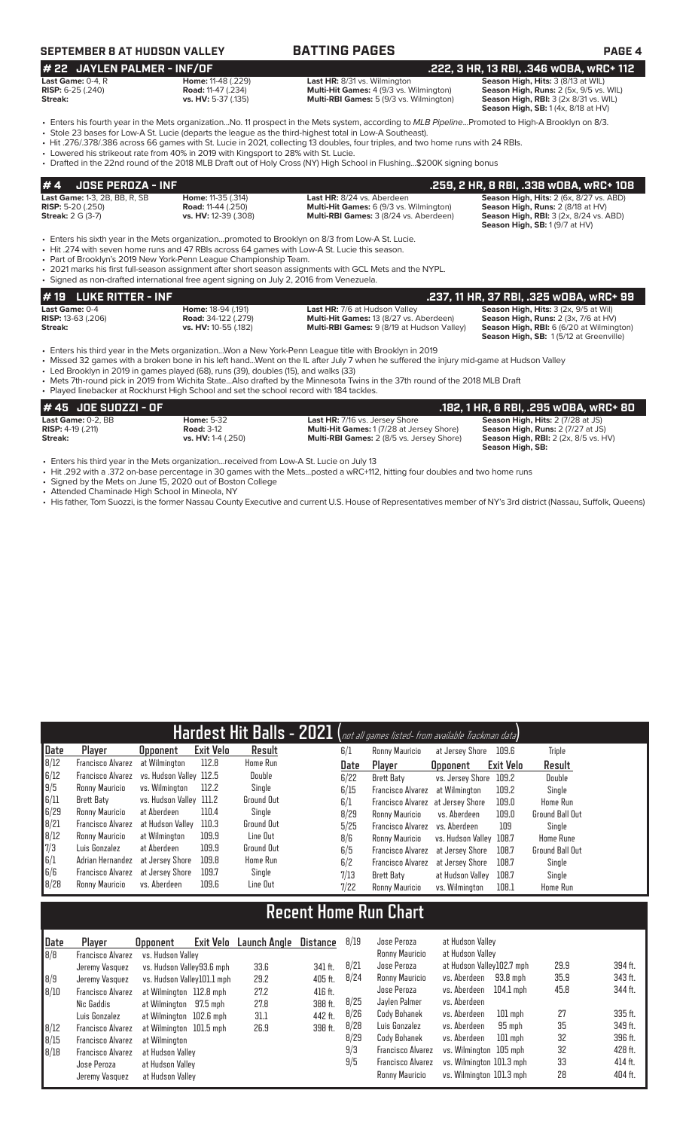## **SEPTEMBER 8 AT HUDSON VALLEY BATTING PAGES PAGE 4**

| <b>BATTING PAGES</b> |  |  |  |  |  |
|----------------------|--|--|--|--|--|
|                      |  |  |  |  |  |

### **# 22 JAYLEN PALMER - INF/OF .222, 3 HR, 13 RBI, .346 wOBA, wRC+ 112 Last Game:** 0-4, R **Home:** 11-48 (.229) **Last HR:** 8/31 vs. Wilmington **Season High, Hits:** 3 (8/13 at WIL) **RISP:** 6-25 (.240) **Road:** 11-47 (.234) **Multi-Hit Games:** 4 (9/3 vs. Wilmington) **Season High, Runs:** 2 (5x, 9/5 vs. WIL) **Streak: vs. HV:** 5-37 (.135) **Multi-RBI Games:** 5 (9/3 vs. Wilmington) **Season High, RBI:** 3 (2x 8/31 vs. WIL)

**Season High, RBI:** 3 (2x 8/31 vs. WIL)<br>**Season High, SB:** 1 (4x, 8/18 at HV)

• Enters his fourth year in the Mets organization...No. 11 prospect in the Mets system, according to *MLB Pipeline*...Promoted to High-A Brooklyn on 8/3. • Stole 23 bases for Low-A St. Lucie (departs the league as the third-highest total in Low-A Southeast).

• Hit .276/.378/.386 across 66 games with St. Lucie in 2021, collecting 13 doubles, four triples, and two home runs with 24 RBIs.

• Lowered his strikeout rate from 40% in 2019 with Kingsport to 28% with St. Lucie.

• Drafted in the 22nd round of the 2018 MLB Draft out of Holy Cross (NY) High School in Flushing...\$200K signing bonus

| $# 4$ JOSE PEROZA - INF                                                                        |                                                                                |                                                                                                                        | .259. 2 HR. 8 RBI. .338 WOBA. WRC+ 108                                                                                                                                        |
|------------------------------------------------------------------------------------------------|--------------------------------------------------------------------------------|------------------------------------------------------------------------------------------------------------------------|-------------------------------------------------------------------------------------------------------------------------------------------------------------------------------|
| <b>Last Game: 1-3, 2B, BB, R, SB</b><br><b>RISP:</b> 5-20 $(.250)$<br><b>Streak:</b> 2 G (3-7) | <b>Home: 11-35 (.314)</b><br><b>Road: 11-44 (.250)</b><br>vs. HV: 12-39 (.308) | Last HR: 8/24 vs. Aberdeen<br><b>Multi-Hit Games:</b> 6 (9/3 vs. Wilmington)<br>Multi-RBI Games: 3 (8/24 vs. Aberdeen) | <b>Season High, Hits: 2 (6x, 8/27 vs. ABD)</b><br>Season High, Runs: 2 (8/18 at HV)<br><b>Season High, RBI:</b> 3 (2x, 8/24 vs. ABD)<br><b>Season High, SB: 1 (9/7 at HV)</b> |
|                                                                                                |                                                                                | - Enters his sixth year in the Mets organizationpromoted to Brooklyn on 8/3 from Low-A St. Lucie.                      |                                                                                                                                                                               |

• Hit .274 with seven home runs and 47 RBIs across 64 games with Low-A St. Lucie this season.

• Part of Brooklyn's 2019 New York-Penn League Championship Team.

- 2021 marks his first full-season assignment after short season assignments with GCL Mets and the NYPL.
- Signed as non-drafted international free agent signing on July 2, 2016 from Venezuela.

# **# 19 LUKE RITTER - INF .237, 11 HR, 37 RBI, .325 wOBA, wRC+ 99**

**Streak:** vs. HV: 10-55 (.182) **Multi-RBI Games:** 9 (8/19 at Hudson Valley)

**Last Game:** 0-4 **Home:** 18-94 (.191) **Last HR:** 7/6 at Hudson Valley **Season High, Hits:** 3 (2x, 9/5 at Wil) **RISP:** 13-63 (.206) **Road:** 34-122 (.279) **Multi-Hit Games:** 13 (8/27 vs. Aberdeen) **Season High, Runs:** 2 (3x, 7/6 at HV) **Season High, SB:** 1 (5/12 at Greenville)

• Enters his third year in the Mets organization...Won a New York-Penn League title with Brooklyn in 2019

• Missed 32 games with a broken bone in his left hand...Went on the IL after July 7 when he suffered the injury mid-game at Hudson Valley

• Led Brooklyn in 2019 in games played (68), runs (39), doubles (15), and walks (33)

• Mets 7th-round pick in 2019 from Wichita State...Also drafted by the Minnesota Twins in the 37th round of the 2018 MLB Draft

• Played linebacker at Rockhurst High School and set the school record with 184 tackles.

| # 45 JOE SUOZZI - OF         |                    |                                                  | .182. 1 HR. 6 RBI. .295 wOBA. wRC+ 80                  |
|------------------------------|--------------------|--------------------------------------------------|--------------------------------------------------------|
| Last Game: 0-2. BB           | <b>Home:</b> 5-32  | <b>Last HR: 7/16 vs. Jersey Shore</b>            | <b>Season High, Hits: 2 (7/28 at JS)</b>               |
| <b>RISP:</b> $4-19$ $(.211)$ | <b>Road: 3-12</b>  | <b>Multi-Hit Games: 1 (7/28 at Jersey Shore)</b> | <b>Season High, Runs: 2 (7/27 at JS)</b>               |
| Streak:                      | vs. HV: 1-4 (.250) | <b>Multi-RBI Games:</b> 2 (8/5 vs. Jersey Shore) | <b>Season High, RBI:</b> $2$ ( $2x$ , $8/5$ vs. $HV$ ) |
|                              |                    |                                                  | Season High, SB:                                       |

• Enters his third year in the Mets organization...received from Low-A St. Lucie on July 13

• Hit .292 with a .372 on-base percentage in 30 games with the Mets...posted a wRC+112, hitting four doubles and two home runs

Signed by the Mets on June 15, 2020 out of Boston College

• Attended Chaminade High School in Mineola, NY

• His father, Tom Suozzi, is the former Nassau County Executive and current U.S. House of Representatives member of NY's 3rd district (Nassau, Suffolk, Queens)

| Hardest Hit Balls - 2021 (not all games listed- from available Trackman data) |                   |                         |                  |                   |  |      |                          |                         |           |                        |
|-------------------------------------------------------------------------------|-------------------|-------------------------|------------------|-------------------|--|------|--------------------------|-------------------------|-----------|------------------------|
| Date                                                                          | Player            | <b>Opponent</b>         | <b>Exit Velo</b> | Result            |  | 6/1  | Ronny Mauricio           | at Jersey Shore         | 109.6     | <b>Triple</b>          |
| 8/12                                                                          | Francisco Alvarez | at Wilmington           | 112.8            | Home Run          |  | Date | Plaver                   | <b>Opponent</b>         | Exit Velo | Result                 |
| 6/12                                                                          | Francisco Alvarez | vs. Hudson Valley 112.5 |                  | Double            |  | 6/22 | Brett Baty               | vs. Jersey Shore        | 109.2     | <b>Double</b>          |
| 9/5                                                                           | Ronny Mauricio    | vs. Wilminaton          | 112.2            | Single            |  | 6/15 | <b>Francisco Alvarez</b> | at Wilmington           | 109.2     | Single                 |
| 6/11                                                                          | Brett Baty        | vs. Hudson Valley 111.2 |                  | Ground Out        |  | 6/1  | Francisco Alvarez        | at Jersev Shore         | 109.0     | Home Run               |
| 6/29                                                                          | Ronny Mauricio    | at Aberdeen             | 110.4            | Single            |  | 8/29 | Ronny Mauricio           | vs. Aberdeen            | 109.0     | Ground Ball Out        |
| 8/21                                                                          | Francisco Alvarez | at Hudson Vallev        | 110.3            | <b>Ground Out</b> |  | 5/25 | <b>Francisco Alvarez</b> | vs. Aberdeen            | 109       | Sinale                 |
| 8/12                                                                          | Ronny Mauricio    | at Wilmington           | 109.9            | Line Out          |  | 8/6  | Ronny Mauricio           | vs. Hudson Valley 108.7 |           | <b>Home Rune</b>       |
| 7/3                                                                           | Luis Gonzalez     | at Aberdeen             | 109.9            | <b>Ground Out</b> |  | 6/5  | <b>Francisco Alvarez</b> | at Jersey Shore         | 108.7     | <b>Ground Ball Out</b> |
| 6/1                                                                           | Adrian Hernandez  | at Jersev Shore         | 109.8            | <b>Home Run</b>   |  | 6/2  | <b>Francisco Alvarez</b> | at Jersev Shore         | 108.7     | Single                 |
| 6/6                                                                           | Francisco Alvarez | at Jersev Shore         | 109.7            | Single            |  | 7/13 | Brett Baty               | at Hudson Valley        | 108.7     | Single                 |
| B/2B                                                                          | Ronny Mauricio    | vs. Aberdeen            | 109.6            | Line Out          |  | 7/22 | Ronny Mauricio           | vs. Wilmington          | 108.1     | Home Run               |
|                                                                               |                   |                         |                  |                   |  |      |                          |                         |           |                        |

# **Recent Home Run Chart**

| Date | Player                   | Exit Velo<br><b>Opponent</b> | Launch Angle | <b>Distance</b> | 8/19 | Jose Peroza              | at Hudson Vallev          |      |           |
|------|--------------------------|------------------------------|--------------|-----------------|------|--------------------------|---------------------------|------|-----------|
| B/B  | Francisco Alvarez        | vs. Hudson Valley            |              |                 |      | Ronny Mauricio           | at Hudson Valley          |      |           |
|      | Jeremy Vasquez           | vs. Hudson Valley93.6 mph    | 33.6         | 341 ft.         | 8/21 | Jose Peroza              | at Hudson Valley102.7 mph | 29.9 | 394 ft.   |
| 8/9  | Jeremy Vasquez           | vs. Hudson Valley101.1 mph   | 29.2         | 405 ft.         | 8/24 | Ronny Mauricio           | vs. Aberdeen<br>93.8 mph  | 35.9 | 343 ft.   |
| 8/10 | <b>Francisco Alvarez</b> | at Wilmington 112.8 mph      | 27.2         | 416 ft.         |      | Jose Peroza              | 104.1 mph<br>vs. Aberdeen | 45.8 | 344 ft.   |
|      | Nic Gaddis               | at Wilmington 97.5 mph       | 27.8         | 388 ft.         | 8/25 | Javlen Palmer            | vs. Aberdeen              |      |           |
|      | Luis Gonzalez            | at Wilmington 102.6 mph      | 31.1         | 442 ft.         | 8/26 | Cody Bohanek             | vs. Aberdeen<br>$101$ mph | 27   | 335 ft.   |
| 8/12 | <b>Francisco Alvarez</b> | at Wilmington 101.5 mph      | 26.9         | 398 ft.         | 8/28 | Luis Gonzalez            | 95 mph<br>vs. Aberdeen    | 35   | 349 ft.   |
| 8/15 | <b>Francisco Alvarez</b> | at Wilmington                |              |                 | 8/29 | Cody Bohanek             | vs. Aberdeen<br>$101$ mph | 32   | 396 ft.   |
| 8/18 | <b>Francisco Alvarez</b> | at Hudson Valley             |              |                 | 9/3  | <b>Francisco Alvarez</b> | vs. Wilmington 105 mph    | 32   | 428 ft.   |
|      | Jose Peroza              | at Hudson Vallev             |              |                 | 9/5  | <b>Francisco Alvarez</b> | vs. Wilminaton 101.3 mph  | 33   | $414$ ft. |
|      | Jeremy Vasquez           | at Hudson Vallev             |              |                 |      | Ronny Mauricio           | vs. Wilmington 101.3 mph  | 28   | 404 ft.   |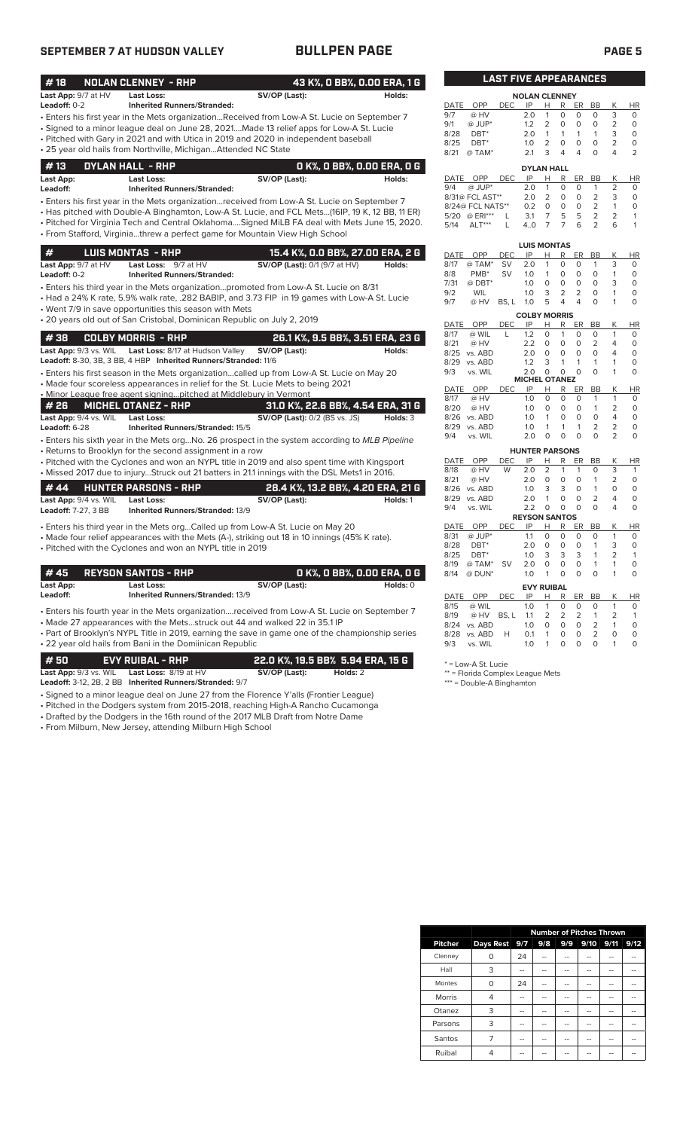## **SEPTEMBER 7 AT HUDSON VALLEY BULLPEN PAGE PAGE 5**

| #18                        | <b>NOLAN CLENNEY - RHP</b>                                                                     | 43 K%, O BB%, O.OO ERA, 1 G          |          |             |                              | <b>LAST FIVE APPEARANCES</b> |                       |                |                             |                         |                            |                                  |                      |
|----------------------------|------------------------------------------------------------------------------------------------|--------------------------------------|----------|-------------|------------------------------|------------------------------|-----------------------|----------------|-----------------------------|-------------------------|----------------------------|----------------------------------|----------------------|
| Last App: 9/7 at HV        | <b>Last Loss:</b>                                                                              | SV/OP (Last):                        | Holds:   |             |                              |                              | <b>NOLAN CLENNEY</b>  |                |                             |                         |                            |                                  |                      |
| Leadoff: 0-2               | <b>Inherited Runners/Stranded:</b>                                                             |                                      |          | DATE        | OPP                          | <b>DEC</b>                   | IP                    | H.             | R                           | ER                      | <b>BB</b>                  | Κ                                | HI                   |
|                            | Enters his first year in the Mets organizationReceived from Low-A St. Lucie on September 7     |                                      |          | 9/7         | @ HV                         |                              | 2.0                   | $\mathbf{1}$   | 0                           | $\Omega$                | $\Omega$                   | 3                                | $\Omega$             |
|                            | · Signed to a minor league deal on June 28, 2021Made 13 relief apps for Low-A St. Lucie        |                                      |          | 9/1         | @ JUP*                       |                              | 1.2                   | $\overline{2}$ | $\circ$                     | $\circ$                 | $\circ$                    | $\overline{2}$                   | $\Omega$             |
|                            | • Pitched with Gary in 2021 and with Utica in 2019 and 2020 in independent baseball            |                                      |          | 8/28        | DBT <sup>*</sup>             |                              | 2.0                   | $\mathbf{1}$   | 1                           | $\mathbf{1}$            | 1                          | 3                                | $\Omega$             |
|                            | . 25 year old hails from Northville, MichiganAttended NC State                                 |                                      |          | 8/25        | $DBT^*$                      |                              | 1.0                   | $\overline{2}$ | $\Omega$                    | $\Omega$                | $\Omega$                   | $\overline{2}$                   | $\Omega$             |
|                            |                                                                                                |                                      |          | 8/21        | @ TAM*                       |                              | 2.1                   | 3              | 4                           | $\overline{4}$          | $\Omega$                   | 4                                | $\overline{2}$       |
| #13                        | DYLAN HALL - RHP                                                                               | 0 K%, 0 BB%, 0.00 ERA, 0 G           |          |             |                              |                              | <b>DYLAN HALL</b>     |                |                             |                         |                            |                                  |                      |
| Last App:                  | <b>Last Loss:</b>                                                                              | SV/OP (Last):                        | Holds:   | DATE        | OPP                          | <b>DEC</b>                   | IP                    | Н              | R                           | <b>ER</b>               | <b>BB</b>                  | К                                | H                    |
| Leadoff:                   | <b>Inherited Runners/Stranded:</b>                                                             |                                      |          | 9/4         | $@$ JUP*                     |                              | 2.0                   | $\mathbf{1}$   | $\circ$                     | $\circ$                 | $\mathbf{1}$               | 2                                | 0                    |
|                            | Enters his first year in the Mets organizationreceived from Low-A St. Lucie on September 7 •   |                                      |          |             | 8/31@ FCL AST**              |                              | 2.0                   | $\overline{2}$ | $\circ$                     | $\circ$                 | $\overline{2}$             | 3                                | $\circ$              |
|                            | Has pitched with Double-A Binghamton, Low-A St. Lucie, and FCL Mets(16IP, 19 K, 12 BB, 11 ER)  |                                      |          |             | 8/24@ FCL NATS**             |                              | 0.2                   | $\circ$        | $\mathbf 0$                 | $\circ$                 | $\overline{2}$             | $\mathbf{1}$                     | $\circ$              |
|                            | . Pitched for Virginia Tech and Central OklahomaSigned MiLB FA deal with Mets June 15, 2020.   |                                      |          |             | 5/20 @ ERI***                | L                            | 3.1                   | 7              | 5                           | 5                       | $\overline{2}$             | 2<br>6                           |                      |
|                            | • From Stafford, Virginiathrew a perfect game for Mountain View High School                    |                                      |          | 5/14        | ALT***                       |                              | 4.0                   | $\overline{7}$ | $\overline{7}$              | 6                       | $\overline{2}$             |                                  |                      |
|                            |                                                                                                |                                      |          |             |                              |                              | <b>LUIS MONTAS</b>    |                |                             |                         |                            |                                  |                      |
| #                          | <b>LUIS MONTAS - RHP</b>                                                                       | 15.4 K%, O.O BB%, 27.00 ERA, 2 G     |          | DATE        | OPP                          | <b>DEC</b>                   | IP                    | Н              | R                           | ER                      | <b>BB</b>                  | Κ                                | HI                   |
| Last App: 9/7 at HV        | Last Loss: 9/7 at HV                                                                           | SV/OP (Last): 0/1 (9/7 at HV)        | Holds:   | 8/17        | @ TAM*                       | <b>SV</b>                    | 2.0                   | $\mathbf{1}$   | $\Omega$                    | $\Omega$                | $\mathbf{1}$               | 3                                | $\Omega$             |
| Leadoff: 0-2               | <b>Inherited Runners/Stranded:</b>                                                             |                                      |          | 8/8         | PMB <sup>*</sup>             | <b>SV</b>                    | 1.0                   | $\mathbf{1}$   | $\circ$                     | $\circ$                 | $\mathbf 0$                | $\mathbf{1}$                     | $\mathbf 0$          |
|                            | · Enters his third year in the Mets organizationpromoted from Low-A St. Lucie on 8/31          |                                      |          | 7/31        | $@$ DBT*                     |                              | 1.0                   | $\mathbf 0$    | 0                           | $\circ$                 | $\circ$                    | 3                                | $\mathbf 0$          |
|                            | • Had a 24% K rate, 5.9% walk rate, .282 BABIP, and 3.73 FIP in 19 games with Low-A St. Lucie  |                                      |          | 9/2         | WIL                          |                              | 1.0                   | 3              | $\overline{2}$              | 2                       | $\Omega$                   | $\mathbf{1}$                     | $\Omega$             |
|                            | • Went 7/9 in save opportunities this season with Mets                                         |                                      |          | 9/7         | @ HV                         | BS, L                        | 1.0                   | 5              | 4                           | 4                       | $\Omega$                   | 1                                | $\circ$              |
|                            | . 20 years old out of San Cristobal, Dominican Republic on July 2, 2019                        |                                      |          |             |                              |                              | <b>COLBY MORRIS</b>   |                |                             |                         |                            |                                  |                      |
|                            |                                                                                                |                                      |          | DATE        | OPP                          | <b>DEC</b>                   | IP                    | H              | R                           | ER                      | <b>BB</b>                  | K                                | HI                   |
| #38                        | <b>COLBY MORRIS - RHP</b>                                                                      | 26.1 K%, 9.5 BB%, 3.51 ERA, 23 G     |          | 8/17        | @ WIL                        | L                            | 1.2                   | $\circ$        | $\mathbf{1}$                | $\circ$                 | $\circ$                    | $\mathbf{1}$                     | 0                    |
| Last App: 9/3 vs. WIL      | Last Loss: 8/17 at Hudson Valley                                                               | SV/OP (Last):                        | Holds:   | 8/21        | @ HV                         |                              | 2.2                   | $\Omega$       | $\Omega$                    | $\Omega$                | $\overline{2}$             | $\overline{4}$<br>$\overline{4}$ | $\Omega$<br>$\Omega$ |
|                            | Leadoff: 8-30, 3B, 3 BB, 4 HBP Inherited Runners/Stranded: 11/6                                |                                      |          |             | 8/25 vs. ABD<br>8/29 vs. ABD |                              | 2.0<br>1.2            | $\circ$<br>3   | $\mathbf 0$<br>$\mathbf{1}$ | $\circ$<br>$\mathbf{1}$ | $\circ$<br>1               | $\mathbf{1}$                     | $\Omega$             |
|                            | Enters his first season in the Mets organizationcalled up from Low-A St. Lucie on May 20       |                                      |          | 9/3         | vs. WIL                      |                              | 2.0                   | $\Omega$       | $\Omega$                    | $\Omega$                | $\Omega$                   | 1                                | $\Omega$             |
|                            | • Made four scoreless appearances in relief for the St. Lucie Mets to being 2021               |                                      |          |             |                              |                              | <b>MICHEL OTANEZ</b>  |                |                             |                         |                            |                                  |                      |
|                            | . Minor League free agent signing pitched at Middlebury in Vermont                             |                                      |          | DATE        | OPP                          | <b>DEC</b>                   | IP                    | H              | R                           | <b>ER</b>               | <b>BB</b>                  | K                                | HI                   |
|                            |                                                                                                |                                      |          | 8/17        | @ HV                         |                              | 1.0                   | $\circ$        | $\mathbf 0$                 | $\circ$                 | $\mathbf{1}$               | $\mathbf{1}$                     | $\circ$              |
| # 26                       | <b>MICHEL OTANEZ - RHP</b>                                                                     | 31.0 K%, 22.6 BB%, 4.54 ERA, 31 G    |          | 8/20        | @ HV                         |                              | 1.0                   | $\circ$        | $\mathbf 0$                 | $\circ$                 | $\mathbf{1}$               | 2                                | 0                    |
| Last App: 9/4 vs. WIL      | Last Loss:                                                                                     | <b>SV/OP (Last): 0/2 (BS vs. JS)</b> | Holds: 3 |             | 8/26 vs. ABD                 |                              | 1.0                   | $\mathbf{1}$   | $\circ$                     | $\circ$                 | $\Omega$                   | $\overline{4}$                   | $\Omega$             |
| Leadoff: 6-28              | <b>Inherited Runners/Stranded: 15/5</b>                                                        |                                      |          |             | 8/29 vs. ABD                 |                              | 1.0                   | 1              | 1                           | $\mathbf{1}$            | $\overline{2}$             | $\overline{2}$                   | 0                    |
|                            | • Enters his sixth year in the Mets orgNo. 26 prospect in the system according to MLB Pipeline |                                      |          | 9/4         | vs. WIL                      |                              | 2.0                   | $\Omega$       | $\Omega$                    | $\Omega$                | $\Omega$                   | $\overline{2}$                   | O                    |
|                            | • Returns to Brooklyn for the second assignment in a row                                       |                                      |          |             |                              |                              | <b>HUNTER PARSONS</b> |                |                             |                         |                            |                                  |                      |
|                            | • Pitched with the Cyclones and won an NYPL title in 2019 and also spent time with Kingsport   |                                      |          | DATE        | <b>OPP</b>                   | <b>DEC</b>                   | IP                    | н              | R                           | ER                      | <b>BB</b>                  | K                                | HI                   |
|                            | • Missed 2017 due to injuryStruck out 21 batters in 21.1 innings with the DSL Mets1 in 2016.   |                                      |          | 8/18        | @ HV                         | W                            | 2.0                   | $\overline{2}$ | $\mathbf{1}$                | $\mathbf{1}$            | $\Omega$                   | 3                                | $\overline{1}$       |
|                            |                                                                                                |                                      |          | 8/21        | @ HV                         |                              | 2.0                   | $\circ$        | $\circ$                     | $\circ$                 | 1                          | $\overline{2}$                   | 0                    |
| #44                        | <b>HUNTER PARSONS - RHP</b>                                                                    | 28.4 K%, 13.2 BB%, 4.20 ERA, 21 G    |          | 8/26        | vs. ABD                      |                              | 1.0                   | 3              | 3                           | $\Omega$                | $\mathbf{1}$               | $\Omega$                         | $\Omega$             |
| Last App: 9/4 vs. WIL      | <b>Last Loss:</b>                                                                              | SV/OP (Last):                        | Holds: 1 | 8/29<br>9/4 | vs. ABD                      |                              | 2.0<br>2.2            | $\mathbf{1}$   | $\circ$<br>0                | $\circ$<br>$\circ$      | $\overline{2}$<br>$\Omega$ | $\overline{4}$<br>$\overline{4}$ | $\Omega$<br>$\circ$  |
| <b>Leadoff: 7-27. 3 BB</b> | <b>Inherited Runners/Stranded: 13/9</b>                                                        |                                      |          |             | vs. WIL                      |                              | <b>REYSON SANTOS</b>  | 0              |                             |                         |                            |                                  |                      |
|                            | • Enters his third year in the Mets orgCalled up from Low-A St. Lucie on May 20                |                                      |          | DATE        | OPP                          | <b>DEC</b>                   | IP                    | н              | R                           | ER                      | <b>BB</b>                  | K                                | HI                   |
|                            | • Made four relief appearances with the Mets (A-), striking out 18 in 10 innings (45% K rate). |                                      |          | 8/31        | $@$ JUP*                     |                              | 1.1                   | $\Omega$       | $\Omega$                    | $\Omega$                | $\Omega$                   | $\mathbf{1}$                     | $\Omega$             |
|                            | • Pitched with the Cyclones and won an NYPL title in 2019                                      |                                      |          | 8/28        | DBT <sup>*</sup>             |                              | 2.0                   | $\Omega$       | $\circ$                     | $\circ$                 | 1                          | 3                                | $\Omega$             |
|                            |                                                                                                |                                      |          | 8/25        | DBT <sup>*</sup>             |                              | 1.0                   | 3              | 3                           | 3                       | $\mathbf{1}$               | $\overline{2}$                   | $\mathbf{1}$         |
|                            |                                                                                                |                                      |          |             |                              |                              |                       |                |                             |                         |                            |                                  |                      |

| #45       | <b>REYSON SANTOS - RHP</b>                                                                    |               | O K%. O BB%. 0.00 ERA. O G |  |  |  |  |
|-----------|-----------------------------------------------------------------------------------------------|---------------|----------------------------|--|--|--|--|
| Last App: | <b>Last Loss:</b>                                                                             | SV/OP (Last): | Holds: $0$                 |  |  |  |  |
| Leadoff:  | <b>Inherited Runners/Stranded: 13/9</b>                                                       |               |                            |  |  |  |  |
|           | • Enters his fourth year in the Mets organizationreceived from Low-A St. Lucie on September 7 |               |                            |  |  |  |  |

• Made 27 appearances with the Mets...struck out 44 and walked 22 in 35.1 IP

• Part of Brooklyn's NYPL Title in 2019, earning the save in game one of the championship series • 22 year old hails from Bani in the Domiinican Republic

| l # 50 l                       | EVY RUIBAL - RHP |                                                         |               | 22.0 K%, 19.5 BB% 5.94 ERA, 15 G |
|--------------------------------|------------------|---------------------------------------------------------|---------------|----------------------------------|
| <b>Last App:</b> $9/3$ vs. WIL |                  | <b>Last Loss:</b> $8/19$ at $HV$                        | SV/OP (Last): | Holds: 2                         |
|                                |                  | Leadoff: 3-12, 2B, 2 BB Inherited Runners/Stranded: 9/7 |               |                                  |

- Signed to a minor league deal on June 27 from the Florence Y'alls (Frontier League) • Pitched in the Dodgers system from 2015-2018, reaching High-A Rancho Cucamonga
- Drafted by the Dodgers in the 16th round of the 2017 MLB Draft from Notre Dame

• From Milburn, New Jersey, attending Milburn High School

| <b>LAST FIVE APPEARANCES</b> |          |     |                      |                |   |    |          |                |               |  |
|------------------------------|----------|-----|----------------------|----------------|---|----|----------|----------------|---------------|--|
|                              |          |     | <b>NOLAN CLENNEY</b> |                |   |    |          |                |               |  |
| DATE                         | OPP      | DEC | IP                   | н              | R | ER | BB       | к              | <b>HR</b>     |  |
| 9/7                          | @ HV     |     | 2.0                  | 1              | 0 | ი  | O        | 3              | $\Omega$      |  |
| 9/1                          | $@$ JUP* |     | 1.2                  | $\overline{2}$ | O | O  | $\Omega$ | $\overline{2}$ | $\Omega$      |  |
| 8/28                         | DBT*     |     | 2.0                  | 1              | 1 | 1  | 1        | 3              | $\Omega$      |  |
| 8/25                         | DRT*     |     | 1.0                  | $\overline{2}$ | O | O  | O        | $\overline{2}$ | $\Omega$      |  |
| 8/21                         | @ TAM*   |     | 2.1                  | 3              | 4 | 4  | O        | 4              | $\mathcal{P}$ |  |
|                              |          |     |                      |                |   |    |          |                |               |  |

|      |                  |            | <b>DYLAN HALL</b> |   |   |    |    |    |    |
|------|------------------|------------|-------------------|---|---|----|----|----|----|
|      | DATE OPP         | <b>DEC</b> | IP                | н | R | ER | ВB | K  | ΗR |
| 9/4  | $@$ JUP*         |            | 20                |   | O | O  |    |    | O  |
|      | 8/31@ FCL AST**  |            | 20                | 2 | O | O  | 2  | 3  | O  |
|      | 8/24@ FCL NATS** |            | 02                | ი | O | O  | 2  |    | O  |
| 5/20 | $@$ ERI***       |            | 3.1               |   | 5 | 5  | 2  |    |    |
| 5/14 | $ALT***$         |            | 4 N               |   |   | 6  |    | ีค |    |

|      |                  |            | <b>LUIS MONTAS</b>   |          |   |    |           |                |    |
|------|------------------|------------|----------------------|----------|---|----|-----------|----------------|----|
| DATE | OPP              | DEC        | IP                   | н        | R | ER | <b>BB</b> | Κ              | ΗR |
| 8/17 | @ TAM*           | SV         | 2.0                  | 1        | 0 | O  | 1         | 3              | 0  |
| 8/8  | PMB <sup>*</sup> | SV         | 1.0                  | 1        | 0 | O  | O         | 1              | 0  |
| 7/31 | $@$ DBT*         |            | 1.0                  | 0        | 0 | 0  | 0         | 3              | 0  |
| 9/2  | WIL              |            | 1.0                  | 3        | 2 | 2  | 0         | 1              | 0  |
| 9/7  | @ HV             | BS, L      | 1.0                  | 5        | 4 | 4  | O         | 1              | 0  |
|      |                  |            | <b>COLBY MORRIS</b>  |          |   |    |           |                |    |
| DATE | OPP              | DEC        | IP                   | н        | R | ER | <b>BB</b> | Κ              | ΗR |
| 8/17 | @ WIL            | L          | 1.2                  | $\Omega$ | 1 | O  | O         | 1              | 0  |
| 8/21 | @ HV             |            | 2.2                  | 0        | 0 | O  | 2         | 4              | 0  |
| 8/25 | vs. ABD          |            | 2.0                  | 0        | 0 | O  | O         | 4              | 0  |
| 8/29 | vs. ABD          |            | 1.2                  | 3        | 1 | 1  | 1         | 1              | 0  |
| 9/3  | vs. WIL          |            | 2.0                  | $\Omega$ | ∩ | ∩  | $\Omega$  | 1              | 0  |
|      |                  |            | <b>MICHEL OTANEZ</b> |          |   |    |           |                |    |
| DATE | OPP              | <b>DEC</b> | IP                   | н        | R | ER | BB        | Κ              | ΗR |
| 8/17 | @ HV             |            | 1.0                  | O        | 0 | 0  | 1         | 1              | 0  |
| 8/20 | @ HV             |            | 1.0                  | O        | 0 | 0  | 1         | 2              | 0  |
| 8/26 | vs. ABD          |            | 1.0                  | 1        | 0 | 0  | 0         | 4              | 0  |
| 8/29 | vs. ABD          |            | 1.0                  | 1        | 1 | 1  | 2         | 2              | 0  |
| 9/4  | vs. WIL          |            | 2.0                  | $\Omega$ | O | 0  | 0         | $\overline{2}$ | 0  |
|      |                  |            |                      |          |   |    |           |                |    |

|             |                  |            | <b>HUNTER PARSONS</b> |                |   |    |                |   |          |
|-------------|------------------|------------|-----------------------|----------------|---|----|----------------|---|----------|
| <b>DATE</b> | OPP              | DEC        | IP                    | н              | R | ER | ВB             | Κ | HR       |
| 8/18        | @ HV             | W          | 2.0                   | $\overline{2}$ | 1 | 1  | 0              | 3 | 1        |
| 8/21        | @ HV             |            | 2.0                   | 0              | 0 | 0  | 1              | 2 | 0        |
| 8/26        | vs. ABD          |            | 1.0                   | 3              | 3 | O  | 1              | 0 | 0        |
| 8/29        | vs. ABD          |            | 2.0                   | 1              | 0 | 0  | $\overline{2}$ | 4 | 0        |
| 9/4         | vs. WIL          |            | 2.2                   | 0              | 0 | O  | O              | 4 | 0        |
|             |                  |            | <b>REYSON SANTOS</b>  |                |   |    |                |   |          |
| DATE        | OPP              | <b>DEC</b> | IP                    | Н              | R | ER | <b>BB</b>      | Κ | ΗR       |
| 8/31        | @ JUP*           |            | 1.1                   | 0              | 0 | 0  | 0              | 1 | 0        |
| 8/28        | DBT <sup>*</sup> |            | 2.0                   | 0              | 0 | 0  | 1              | 3 | 0        |
| 8/25        | DBT*             |            | 1.0                   | 3              | 3 | 3  | 1              | 2 | 1        |
| 8/19        | @ TAM*           | SV         | 2.0                   | 0              | 0 | 0  | 1              | 1 | $\Omega$ |
| 8/14        | @ DUN*           |            | 1.0                   | 1              | 0 | O  | 0              | 1 | 0        |
|             |                  |            | <b>EVY RUIBAL</b>     |                |   |    |                |   |          |
| DATE        | OPP              | <b>DEC</b> | IP                    | н              | R | ER | BB             | Κ | HR       |
| 8/15        | @ WIL            |            | 1.0                   | 1              | 0 | 0  | 0              | 1 | 0        |
| 8/19        | @ HV             | BS, L      | 1.1                   | 2              | 2 | 2  | 1              | 2 | 1        |
| 8/24        | vs. ABD          |            | 1.0                   | 0              | 0 | 0  | 2              | 1 | 0        |
| 8/28        | vs. ABD          | н          | 0.1                   | 1              | 0 | 0  | $\overline{2}$ | 0 | 0        |
| 9/3         | vs. WIL          |            | 1.0                   | 1              | 0 | 0  | O              | 1 | 0        |

\* = Low-A St. Lucie

\*\* = Florida Complex League Mets

\*\*\* = Double-A Binghamton

|                |               |    | <b>Number of Pitches Thrown</b> |     |           |    |      |
|----------------|---------------|----|---------------------------------|-----|-----------|----|------|
| <b>Pitcher</b> | Days Rest 9/7 |    | 9/8                             | 9/9 | 9/10 9/11 |    | 9/12 |
| Clenney        | Ω             | 24 |                                 |     |           |    |      |
| Hall           | 3             | -- | --                              | --  | --        |    |      |
| Montes         | O             | 24 |                                 |     |           |    |      |
| <b>Morris</b>  | 4             |    |                                 |     |           |    |      |
| Otanez         | 3             | -- |                                 |     |           |    |      |
| Parsons        | 3             | -- | --                              | --  | --        | -- |      |
| Santos         | 7             | -- | --                              | --  | --        | -- |      |
| Ruibal         |               |    |                                 |     |           |    |      |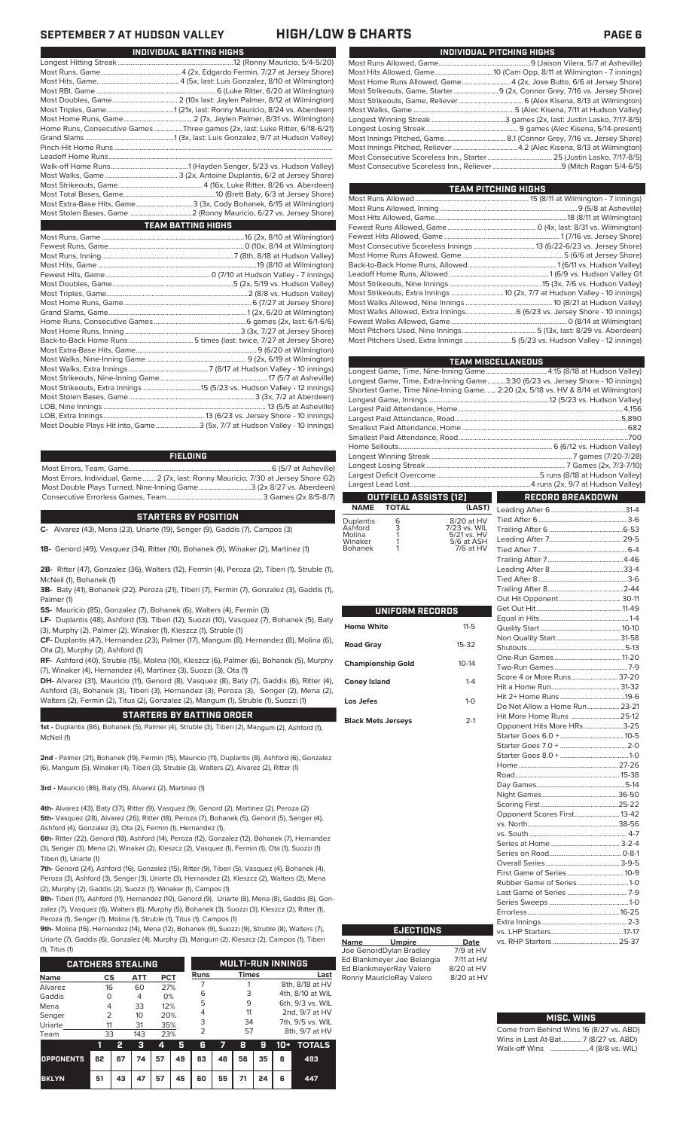| INDIVIDUAL PITCHING HIGHS                                                 |
|---------------------------------------------------------------------------|
|                                                                           |
|                                                                           |
| Most Home Runs Allowed, Game 4 (2x, Jose Butto, 6/6 at Jersey Shore)      |
| Most Strikeouts, Game, Starter 9 (2x, Connor Grey, 7/16 vs. Jersey Shore) |
|                                                                           |
|                                                                           |
|                                                                           |
|                                                                           |
|                                                                           |
|                                                                           |
|                                                                           |
|                                                                           |

| TEAM PITCHING HIGHS                                                        |  |
|----------------------------------------------------------------------------|--|
|                                                                            |  |
|                                                                            |  |
|                                                                            |  |
|                                                                            |  |
|                                                                            |  |
|                                                                            |  |
|                                                                            |  |
|                                                                            |  |
|                                                                            |  |
|                                                                            |  |
| Most Strikeouts, Extra Innings  10 (2x, 7/7 at Hudson Valley - 10 innings) |  |
|                                                                            |  |
| Most Walks Allowed, Extra Innings 6 (6/23 vs. Jersey Shore - 10 innings)   |  |
|                                                                            |  |
|                                                                            |  |
| Most Pitchers Used, Extra Innings 5 (5/23 vs. Hudson Valley - 12 innings)  |  |
|                                                                            |  |

|                                                                                    | <b>TEAM MISCELLANEOUS</b>                                   |
|------------------------------------------------------------------------------------|-------------------------------------------------------------|
|                                                                                    |                                                             |
| Longest Game, Time, Extra-Inning Game3:30 (6/23 vs. Jersey Shore - 10 innings)     |                                                             |
| Shortest Game, Time Nine-Inning Game.  2:20 (2x, 5/18 vs. HV & 8/14 at Wilmington) |                                                             |
|                                                                                    |                                                             |
|                                                                                    |                                                             |
|                                                                                    |                                                             |
|                                                                                    |                                                             |
|                                                                                    |                                                             |
|                                                                                    |                                                             |
|                                                                                    |                                                             |
|                                                                                    |                                                             |
|                                                                                    |                                                             |
|                                                                                    |                                                             |
| <b>OUTFIELD ASSISTS [12]</b>                                                       | $\mathcal{L}^{\text{max}}_{\text{max}}$<br>RECORD BREAKDOWN |

### **OUTFIELD ASSISTS (12) TOTAL** Leading After 6.........................................31-4

| <b>Duplantis</b><br>Ashford<br>Molina<br>Winaker<br><b>Bohanek</b> | 6<br>3 | 8/20 at HV<br>7/23 vs. WIL<br>5/21 vs. HV<br>5/6 at ASH<br>7/6 at HV |
|--------------------------------------------------------------------|--------|----------------------------------------------------------------------|
|                                                                    |        |                                                                      |
|                                                                    |        |                                                                      |

ı

|                           | UNIFORM RECORDS |  |  |  |  |  |  |  |  |
|---------------------------|-----------------|--|--|--|--|--|--|--|--|
| <b>Home White</b>         | $11 - 5$        |  |  |  |  |  |  |  |  |
| <b>Road Gray</b>          | $15-32$         |  |  |  |  |  |  |  |  |
| <b>Championship Gold</b>  | $10 - 14$       |  |  |  |  |  |  |  |  |
| <b>Coney Island</b>       | $1 - 4$         |  |  |  |  |  |  |  |  |
| Los Jefes                 | $1 - \Omega$    |  |  |  |  |  |  |  |  |
| <b>Black Mets Jerseys</b> | $2-1$           |  |  |  |  |  |  |  |  |

| Score 4 or More Runs 37-20    |  |
|-------------------------------|--|
|                               |  |
|                               |  |
| Do Not Allow a Home Run 23-21 |  |
| Hit More Home Runs  25-12     |  |
| Opponent Hits More HRs3-25    |  |
|                               |  |
|                               |  |
|                               |  |
|                               |  |
|                               |  |
|                               |  |
|                               |  |
|                               |  |
| Opponent Scores First 13-42   |  |
|                               |  |
|                               |  |
|                               |  |
|                               |  |
|                               |  |
| First Game of Series  10-9    |  |
| Rubber Game of Series 1-0     |  |
|                               |  |
|                               |  |
|                               |  |
|                               |  |
|                               |  |
|                               |  |
|                               |  |

### **MISC. WINS**

| Come from Behind Wins 16 (8/27 vs. ABD) |
|-----------------------------------------|
| Wins in Last At-Bat7 (8/27 vs. ABD)     |
| Walk-off Wins 4 (8/8 vs. WIL)           |

## **SEPTEMBER 7 AT HUDSON VALLEY HIGH/LOW & CHARTS PAGE 6**

| INDIVIDUAL BATTING HIGHS |                                                                             |  |  |  |  |  |  |  |
|--------------------------|-----------------------------------------------------------------------------|--|--|--|--|--|--|--|
|                          |                                                                             |  |  |  |  |  |  |  |
|                          |                                                                             |  |  |  |  |  |  |  |
|                          |                                                                             |  |  |  |  |  |  |  |
|                          |                                                                             |  |  |  |  |  |  |  |
|                          |                                                                             |  |  |  |  |  |  |  |
|                          |                                                                             |  |  |  |  |  |  |  |
|                          |                                                                             |  |  |  |  |  |  |  |
|                          | Home Runs, Consecutive Games Three games (2x, last: Luke Ritter, 6/18-6/21) |  |  |  |  |  |  |  |
|                          |                                                                             |  |  |  |  |  |  |  |
|                          |                                                                             |  |  |  |  |  |  |  |
|                          |                                                                             |  |  |  |  |  |  |  |
|                          |                                                                             |  |  |  |  |  |  |  |
|                          |                                                                             |  |  |  |  |  |  |  |
|                          |                                                                             |  |  |  |  |  |  |  |
|                          |                                                                             |  |  |  |  |  |  |  |
|                          | Most Extra-Base Hits, Game 3 (3x, Cody Bohanek, 6/15 at Wilmington)         |  |  |  |  |  |  |  |
|                          |                                                                             |  |  |  |  |  |  |  |
|                          | <b>TEAM BATTING HIGHS</b>                                                   |  |  |  |  |  |  |  |
|                          |                                                                             |  |  |  |  |  |  |  |
|                          |                                                                             |  |  |  |  |  |  |  |
|                          |                                                                             |  |  |  |  |  |  |  |
|                          |                                                                             |  |  |  |  |  |  |  |
|                          |                                                                             |  |  |  |  |  |  |  |
|                          |                                                                             |  |  |  |  |  |  |  |
|                          |                                                                             |  |  |  |  |  |  |  |
|                          |                                                                             |  |  |  |  |  |  |  |
|                          |                                                                             |  |  |  |  |  |  |  |
|                          |                                                                             |  |  |  |  |  |  |  |
|                          |                                                                             |  |  |  |  |  |  |  |
|                          |                                                                             |  |  |  |  |  |  |  |
|                          |                                                                             |  |  |  |  |  |  |  |
|                          |                                                                             |  |  |  |  |  |  |  |
|                          |                                                                             |  |  |  |  |  |  |  |
|                          |                                                                             |  |  |  |  |  |  |  |
|                          |                                                                             |  |  |  |  |  |  |  |
|                          |                                                                             |  |  |  |  |  |  |  |
|                          |                                                                             |  |  |  |  |  |  |  |
|                          | Most Double Plays Hit into, Game3 (5x, 7/7 at Hudson Valley - 10 innings)   |  |  |  |  |  |  |  |
|                          |                                                                             |  |  |  |  |  |  |  |

### **FIELDING**

Most Errors, Team, Game...............................................................................6 (5/7 at Asheville) Most Errors, Individual, Game....... 2 (7x, last: Ronny Mauricio, 7/30 at Jersey Shore G2) Most Double Plays Turned, Nine-Inning Game.............................3 (2x 8/27 vs. Aberdeen) Consecutive Errorless Games, Team.

### **STARTERS BY POSITION**

**C-** Alvarez (43), Mena (23), Uriarte (19), Senger (9), Gaddis (7), Campos (3)

**1B-** Genord (49), Vasquez (34), Ritter (10), Bohanek (9), Winaker (2), Martinez (1)

**2B-** Ritter (47), Gonzalez (36), Walters (12), Fermin (4), Peroza (2), Tiberi (1), Struble (1), McNeil (1), Bohanek (1)

**3B-** Baty (41), Bohanek (22), Peroza (21), Tiberi (7), Fermin (7), Gonzalez (3), Gaddis (1), Palmer (1)

**SS-** Mauricio (85), Gonzalez (7), Bohanek (6), Walters (4), Fermin (3)

**LF-** Duplantis (48), Ashford (13), Tiberi (12), Suozzi (10), Vasquez (7), Bohanek (5), Baty (3), Murphy (2), Palmer (2), Winaker (1), Kleszcz (1), Struble (1)

**CF-** Duplantis (47), Hernandez (23), Palmer (17), Mangum (8), Hernandez (8), Molina (6), Ota (2), Murphy (2), Ashford (1)

**RF-** Ashford (40), Struble (15), Molina (10), Kleszcz (6), Palmer (6), Bohanek (5), Murphy (7), Winaker (4), Hernandez (4), Martinez (3), Suozzi (3), Ota (1)

**DH-** Alvarez (31), Mauricio (11), Genord (8), Vasquez (8), Baty (7), Gaddis (6), Ritter (4), Ashford (3), Bohanek (3), Tiberi (3), Hernandez (3), Peroza (3), Senger (2), Mena (2), Walters (2), Fermin (2), Titus (2), Gonzalez (2), Mangum (1), Struble (1), Suozzi (1)

### **STARTERS BY BATTING ORDER**

**1st -** Duplantis (86), Bohanek (5), Palmer (4), Struble (3), Tiberi (2), Mangum (2), Ashford (1), McNeil (1)

**2nd -** Palmer (21), Bohanek (19), Fermin (15), Mauricio (11), Duplantis (8), Ashford (6), Gonzalez (6), Mangum (5), Winaker (4), Tiberi (3), Struble (3), Walters (2), Alvarez (2), Ritter (1)

**3rd -** Mauricio (86), Baty (15), Alvarez (2), Martinez (1)

**4th-** Alvarez (43), Baty (37), Ritter (9), Vasquez (9), Genord (2), Martinez (2), Peroza (2) **5th-** Vasquez (28), Alvarez (26), Ritter (18), Peroza (7), Bohanek (5), Genord (5), Senger (4), Ashford (4), Gonzalez (3), Ota (2), Fermin (1), Hernandez (1),

**6th-** Ritter (22), Genord (18), Ashford (14), Peroza (12), Gonzalez (12), Bohanek (7), Hernandez (3), Senger (3), Mena (2), Winaker (2), Kleszcz (2), Vasquez (1), Fermin (1), Ota (1), Suozzi (1) Tiberi (1), Uriarte (1)

**7th-** Genord (24), Ashford (16), Gonzalez (15), Ritter (9), Tiberi (5), Vasquez (4), Bohanek (4), Peroza (3), Ashford (3), Senger (3), Uriarte (3), Hernandez (2), Kleszcz (2), Walters (2), Mena (2), Murphy (2), Gaddis (2), Suozzi (1), Winaker (1), Campos (1)

**8th-** Tiberi (11), Ashford (11), Hernandez (10), Genord (9), Uriarte (8), Mena (8), Gaddis (8), Gonzalez (7), Vasquez (6), Walters (6), Murphy (5), Bohanek (3), Suozzi (3), Kleszcz (2), Ritter (1), Peroza (1), Senger (1), Molina (1), Struble (1), Titus (1), Campos (1)

**9th-** Molina (16), Hernandez (14), Mena (12), Bohanek (9), Suozzi (9), Struble (8), Walters (7), Uriarte (7), Gaddis (6), Gonzalez (4), Murphy (3), Mangum (2), Kleszcz (2), Campos (1), Tiberi  $(4)$ , Titus (1)

| 11, 110311               |                |                          |     |     |    |             |    |              |    |                  |                 |  |
|--------------------------|----------------|--------------------------|-----|-----|----|-------------|----|--------------|----|------------------|-----------------|--|
| <b>CATCHERS STEALING</b> |                | <b>MULTI-RUN INNINGS</b> |     |     |    |             |    |              |    |                  |                 |  |
| <b>Name</b>              | CS             |                          | ATT | PCT |    | <b>Runs</b> |    | <b>Times</b> |    |                  | Last            |  |
| Alvarez                  | 16             |                          | 60  | 27% |    |             |    |              |    |                  | 8th, 8/18 at HV |  |
| Gaddis                   | 0              |                          | 4   | 0%  |    | 6           |    | 3            |    | 4th, 8/10 at WIL |                 |  |
| Mena                     | 4              |                          | 33  | 12% |    | 5           |    | 9            |    | 6th, 9/3 vs. WIL |                 |  |
| Senger                   | $\overline{2}$ |                          | 10  | 20% |    | 4           |    | 11           |    | 2nd, 9/7 at HV   |                 |  |
| Uriarte                  | 11             |                          | 31  | 35% |    | 3           |    | 34           |    | 7th, 9/5 vs. WIL |                 |  |
| Team                     | 33             |                          | 143 | 23% |    | 2           |    | 57           |    | 8th, 9/7 at HV   |                 |  |
|                          | 1              | 2                        | з   | 4   | 5  | 6           |    | 8            | g  | 10+              | <b>TOTALS</b>   |  |
| <b>OPPONENTS</b>         | 62             | 67                       | 74  | 57  | 49 | 63          | 46 | 56           | 35 | 6                | 493             |  |

**BKLYN 51 43 47 57 45 60 55 71 24 6 447**

## **Name Umpire Date** Joe GenordDylan Bradley 7/9 at HV **EJECTIONS**

Ed Blankmeyer Joe Belangia 7/11 at HV Ed BlankmeyerRay Valero 8/20 at HV<br>Ronny MauricioRay Valero 8/20 at HV Ronny MauricioRay Valero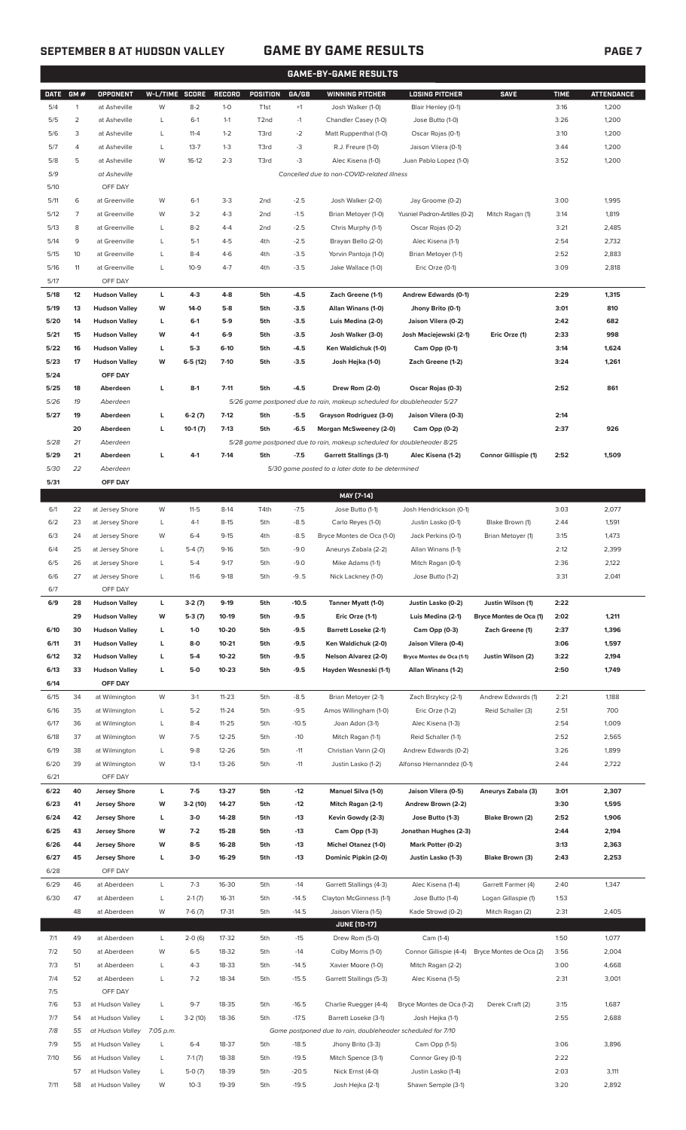## **SEPTEMBER 8 AT HUDSON VALLEY GAME BY GAME RESULTS PAGE 7**

| <b>GAME-BY-GAME RESULTS</b> |          |                                              |                |                    |                    |                  |                  |                                                                                                           |                                                    |                             |              |                   |
|-----------------------------|----------|----------------------------------------------|----------------|--------------------|--------------------|------------------|------------------|-----------------------------------------------------------------------------------------------------------|----------------------------------------------------|-----------------------------|--------------|-------------------|
| <b>DATE</b>                 | GM#      | OPPONENT                                     | W-L/TIME SCORE |                    | <b>RECORD</b>      | POSITION         | GA/GB            | <b>WINNING PITCHER</b>                                                                                    | <b>LOSING PITCHER</b>                              | <b>SAVE</b>                 | <b>TIME</b>  | <b>ATTENDANCE</b> |
| 5/4                         | 1        | at Asheville                                 | W              | $8 - 2$            | $1 - 0$            | T <sub>1st</sub> | $+1$             | Josh Walker (1-0)                                                                                         | Blair Henley (0-1)                                 |                             | 3:16         | 1,200             |
| 5/5                         | 2        | at Asheville                                 | L              | $6-1$              | $1 - 1$            | T2nd             | $-1$             | Chandler Casey (1-0)                                                                                      | Jose Butto (1-0)                                   |                             | 3:26         | 1,200             |
| 5/6                         | 3        | at Asheville                                 | L              | $11 - 4$           | $1 - 2$            | T3rd             | $-2$             | Matt Ruppenthal (1-0)                                                                                     | Oscar Rojas (0-1)                                  |                             | 3:10         | 1,200             |
| 5/7                         | 4        | at Asheville                                 | L              | $13 - 7$           | $1 - 3$            | T3rd             | -3               | R.J. Freure (1-0)                                                                                         | Jaison Vilera (0-1)                                |                             | 3:44         | 1,200             |
| 5/8                         | 5        | at Asheville                                 | W              | $16-12$            | $2 - 3$            | T3rd             | -3               | Alec Kisena (1-0)                                                                                         | Juan Pablo Lopez (1-0)                             |                             | 3:52         | 1,200             |
| 5/9                         |          | at Asheville                                 |                |                    |                    |                  |                  | Cancelled due to non-COVID-related illness                                                                |                                                    |                             |              |                   |
| 5/10                        |          | OFF DAY                                      |                |                    |                    |                  |                  |                                                                                                           |                                                    |                             |              |                   |
| 5/11                        | 6        | at Greenville<br>at Greenville               | W              | $6-1$              | $3-3$              | 2 <sub>nd</sub>  | $-2.5$           | Josh Walker (2-0)                                                                                         | Jay Groome (0-2)                                   |                             | 3:00         | 1,995             |
| 5/12<br>5/13                | 7<br>8   | at Greenville                                | W<br>L         | $3 - 2$<br>$8 - 2$ | $4 - 3$<br>$4 - 4$ | 2nd<br>2nd       | $-1.5$<br>$-2.5$ | Brian Metoyer (1-0)<br>Chris Murphy (1-1)                                                                 | Yusniel Padron-Artilles (0-2)<br>Oscar Rojas (0-2) | Mitch Ragan (1)             | 3:14<br>3:21 | 1,819<br>2,485    |
| 5/14                        | 9        | at Greenville                                | L              | $5-1$              | $4 - 5$            | 4th              | $-2.5$           | Brayan Bello (2-0)                                                                                        | Alec Kisena (1-1)                                  |                             | 2:54         | 2,732             |
| 5/15                        | 10       | at Greenville                                | L              | $8 - 4$            | $4-6$              | 4th              | $-3.5$           | Yorvin Pantoja (1-0)                                                                                      | Brian Metoyer (1-1)                                |                             | 2:52         | 2,883             |
| 5/16                        | 11       | at Greenville                                | L              | $10 - 9$           | $4 - 7$            | 4th              | $-3.5$           | Jake Wallace (1-0)                                                                                        | Eric Orze (0-1)                                    |                             | 3:09         | 2,818             |
| 5/17                        |          | OFF DAY                                      |                |                    |                    |                  |                  |                                                                                                           |                                                    |                             |              |                   |
| 5/18                        | 12       | <b>Hudson Valley</b>                         | L              | $4-3$              | $4 - 8$            | 5th              | $-4.5$           | Zach Greene (1-1)                                                                                         | <b>Andrew Edwards (0-1)</b>                        |                             | 2:29         | 1,315             |
| 5/19                        | 13       | <b>Hudson Valley</b>                         | W              | $14-0$             | $5-8$              | 5th              | $-3.5$           | Allan Winans (1-0)                                                                                        | Jhony Brito (0-1)                                  |                             | 3:01         | 810               |
| 5/20                        | 14       | <b>Hudson Valley</b>                         | L              | $6-1$              | $5-9$              | 5th              | $-3.5$           | Luis Medina (2-0)                                                                                         | Jaison Vilera (0-2)                                |                             | 2:42         | 682               |
| 5/21                        | 15       | <b>Hudson Valley</b>                         | W              | 4-1                | $6-9$              | 5th              | $-3.5$           | Josh Walker (3-0)                                                                                         | Josh Maciejewski (2-1)                             | Eric Orze (1)               | 2:33         | 998               |
| 5/22                        | 16       | <b>Hudson Valley</b>                         | L              | $5-3$              | $6-10$             | 5th              | $-4.5$           | Ken Waldichuk (1-0)                                                                                       | Cam Opp (0-1)                                      |                             | 3:14         | 1,624             |
| 5/23                        | 17       | <b>Hudson Valley</b>                         | W              | $6-5(12)$          | $7-10$             | 5th              | $-3.5$           | Josh Hejka (1-0)                                                                                          | Zach Greene (1-2)                                  |                             | 3:24         | 1,261             |
| 5/24                        |          | OFF DAY                                      |                |                    |                    |                  |                  |                                                                                                           |                                                    |                             |              |                   |
| 5/25                        | 18       | Aberdeen                                     | L              | $8-1$              | $7 - 11$           | 5th              | $-4.5$           | Drew Rom (2-0)                                                                                            | Oscar Rojas (0-3)                                  |                             | 2:52         | 861               |
| 5/26                        | 19       | Aberdeen                                     |                |                    |                    |                  |                  | 5/26 game postponed due to rain, makeup scheduled for doubleheader 5/27                                   |                                                    |                             |              |                   |
| 5/27                        | 19       | Aberdeen                                     | L              | $6-2(7)$           | $7-12$             | 5th              | $-5.5$           | Grayson Rodriguez (3-0)                                                                                   | Jaison Vilera (0-3)                                |                             | 2:14         |                   |
|                             | 20<br>21 | Aberdeen                                     | L              | $10-1(7)$          | $7-13$             | 5th              | $-6.5$           | Morgan McSweeney (2-0)                                                                                    | Cam Opp (0-2)                                      |                             | 2:37         | 926               |
| 5/28<br>5/29                | 21       | Aberdeen<br>Aberdeen                         | г              | $4-1$              | $7-14$             | 5th              | $-7.5$           | 5/28 game postponed due to rain, makeup scheduled for doubleheader 8/25<br><b>Garrett Stallings (3-1)</b> | Alec Kisena (1-2)                                  | <b>Connor Gillispie (1)</b> | 2:52         | 1,509             |
| 5/30                        | 22       | Aberdeen                                     |                |                    |                    |                  |                  | 5/30 game posted to a later date to be determined                                                         |                                                    |                             |              |                   |
| 5/31                        |          | OFF DAY                                      |                |                    |                    |                  |                  |                                                                                                           |                                                    |                             |              |                   |
|                             |          |                                              |                |                    |                    |                  |                  | MAY [7-14]                                                                                                |                                                    |                             |              |                   |
| 6/1                         | 22       | at Jersey Shore                              | W              | $11-5$             | $8-14$             | T4th             | $-7.5$           | Jose Butto (1-1)                                                                                          | Josh Hendrickson (0-1)                             |                             | 3:03         | 2,077             |
| 6/2                         | 23       | at Jersey Shore                              | L              | $4-1$              | $8 - 15$           | 5th              | $-8.5$           | Carlo Reyes (1-0)                                                                                         | Justin Lasko (0-1)                                 | Blake Brown (1)             | 2:44         | 1,591             |
| 6/3                         | 24       | at Jersey Shore                              | W              | $6 - 4$            | $9 - 15$           | 4th              | $-8.5$           | Bryce Montes de Oca (1-0)                                                                                 | Jack Perkins (0-1)                                 | Brian Metoyer (1)           | 3:15         | 1,473             |
| 6/4                         | 25       | at Jersey Shore                              | L              | $5-4(7)$           | $9-16$             | 5th              | $-9.0$           | Aneurys Zabala (2-2)                                                                                      | Allan Winans (1-1)                                 |                             | 2:12         | 2,399             |
| 6/5                         | 26       | at Jersey Shore                              | L              | $5 - 4$            | $9 - 17$           | 5th              | $-9.0$           | Mike Adams (1-1)                                                                                          | Mitch Ragan (0-1)                                  |                             | 2:36         | 2,122             |
| 6/6                         | 27       | at Jersey Shore                              |                | $11-6$             | 9-18               | 5th              | -95              | Nick Lackney (1-0)                                                                                        | Jose Butto (1-2)                                   |                             | 3:31         | 2,041             |
| 6/7                         |          | OFF DAY                                      |                |                    |                    |                  |                  |                                                                                                           |                                                    |                             |              |                   |
| 6/9                         | 28       | <b>Hudson Valley</b>                         | L              | $3-2(7)$           | $9-19$             | 5th              | $-10.5$          | Tanner Myatt (1-0)                                                                                        | Justin Lasko (0-2)                                 | Justin Wilson (1)           | 2:22         |                   |
|                             | 29       | <b>Hudson Valley</b>                         | W              | $5-3(7)$           | 10-19              | 5th              | $-9.5$           | Eric Orze (1-1)                                                                                           | Luis Medina (2-1)                                  | Bryce Montes de Oca (1)     | 2:02         | 1,211             |
| 6/10                        | 30       | <b>Hudson Valley</b>                         | L              | $1 - 0$            | 10-20              | 5th              | $-9.5$           | <b>Barrett Loseke (2-1)</b>                                                                               | Cam Opp (0-3)                                      | Zach Greene (1)             | 2:37         | 1,396             |
| 6/11<br>6/12                | 31<br>32 | <b>Hudson Valley</b><br><b>Hudson Valley</b> | L<br>L         | $8-0$<br>$5-4$     | $10 - 21$<br>10-22 | 5th<br>5th       | $-9.5$<br>$-9.5$ | Ken Waldichuk (2-0)<br>Nelson Alvarez (2-0)                                                               | Jaison Vilera (0-4)<br>Bryce Montes de Oca (1-1)   | Justin Wilson (2)           | 3:06<br>3:22 | 1,597<br>2,194    |
| 6/13                        | 33       | <b>Hudson Valley</b>                         | L              | $5-0$              | $10 - 23$          | 5th              | $-9.5$           | Hayden Wesneski (1-1)                                                                                     | Allan Winans (1-2)                                 |                             | 2:50         | 1,749             |
| 6/14                        |          | OFF DAY                                      |                |                    |                    |                  |                  |                                                                                                           |                                                    |                             |              |                   |
| 6/15                        | 34       | at Wilmington                                | W              | $3-1$              | $11 - 23$          | 5th              | $-8.5$           | Brian Metoyer (2-1)                                                                                       | Zach Brzykcy (2-1)                                 | Andrew Edwards (1)          | 2:21         | 1,188             |
| 6/16                        | 35       | at Wilmington                                | L              | $5 - 2$            | $11 - 24$          | 5th              | $-9.5$           | Amos Willingham (1-0)                                                                                     | Eric Orze (1-2)                                    | Reid Schaller (3)           | 2:51         | 700               |
| 6/17                        | 36       | at Wilmington                                | L              | $8 - 4$            | $11 - 25$          | 5th              | $-10.5$          | Joan Adon (3-1)                                                                                           | Alec Kisena (1-3)                                  |                             | 2:54         | 1,009             |
| 6/18                        | 37       | at Wilmington                                | W              | $7-5$              | 12-25              | 5th              | $-10$            | Mitch Ragan (1-1)                                                                                         | Reid Schaller (1-1)                                |                             | 2:52         | 2,565             |
| 6/19                        | 38       | at Wilmington                                | L              | $9 - 8$            | 12-26              | 5th              | $-11$            | Christian Vann (2-0)                                                                                      | Andrew Edwards (0-2)                               |                             | 3:26         | 1,899             |
| 6/20                        | 39       | at Wilmington                                | W              | $13-1$             | 13-26              | 5th              | $-11$            | Justin Lasko (1-2)                                                                                        | Alfonso Hernanndez (0-1)                           |                             | 2:44         | 2,722             |
| 6/21                        |          | OFF DAY                                      |                |                    |                    |                  |                  |                                                                                                           |                                                    |                             |              |                   |
| 6/22                        | 40       | <b>Jersey Shore</b>                          | L              | $7-5$              | 13-27              | 5th              | $-12$            | Manuel Silva (1-0)                                                                                        | Jaison Vilera (0-5)                                | Aneurys Zabala (3)          | 3:01         | 2,307             |
| 6/23                        | 41       | <b>Jersey Shore</b>                          | W              | $3-2(10)$          | 14-27              | 5th              | $-12$            | Mitch Ragan (2-1)                                                                                         | Andrew Brown (2-2)                                 |                             | 3:30         | 1,595             |
| 6/24<br>6/25                | 42<br>43 | <b>Jersey Shore</b>                          | L<br>W         | $3-0$<br>$7-2$     | 14-28<br>15-28     | 5th              | $-13$<br>$-13$   | Kevin Gowdy (2-3)                                                                                         | Jose Butto (1-3)                                   | Blake Brown (2)             | 2:52<br>2:44 | 1,906             |
| 6/26                        | 44       | <b>Jersey Shore</b><br><b>Jersey Shore</b>   | W              | $8-5$              | 16-28              | 5th<br>5th       | $-13$            | Cam Opp (1-3)<br><b>Michel Otanez (1-0)</b>                                                               | Jonathan Hughes (2-3)<br>Mark Potter (0-2)         |                             | 3:13         | 2,194<br>2,363    |
| 6/27                        | 45       | <b>Jersey Shore</b>                          | L              | $3-0$              | 16-29              | 5th              | -13              | Dominic Pipkin (2-0)                                                                                      | Justin Lasko (1-3)                                 | Blake Brown (3)             | 2:43         | 2,253             |
| 6/28                        |          | OFF DAY                                      |                |                    |                    |                  |                  |                                                                                                           |                                                    |                             |              |                   |
| 6/29                        | 46       | at Aberdeen                                  | L              | $7 - 3$            | 16-30              | 5th              | $-14$            | Garrett Stallings (4-3)                                                                                   | Alec Kisena (1-4)                                  | Garrett Farmer (4)          | 2:40         | 1,347             |
| 6/30                        | 47       | at Aberdeen                                  | L              | $2-1(7)$           | 16-31              | 5th              | $-14.5$          | Clayton McGinness (1-1)                                                                                   | Jose Butto (1-4)                                   | Logan Gillaspie (1)         | 1:53         |                   |
|                             | 48       | at Aberdeen                                  | W              | $7-6(7)$           | 17-31              | 5th              | $-14.5$          | Jaison Vilera (1-5)                                                                                       | Kade Strowd (0-2)                                  | Mitch Ragan (2)             | 2:31         | 2,405             |
|                             |          |                                              |                |                    |                    |                  |                  | <b>JUNE (10-17)</b>                                                                                       |                                                    |                             |              |                   |
| 7/1                         | 49       | at Aberdeen                                  | L              | $2-0(6)$           | 17-32              | 5th              | $-15$            | Drew Rom (5-0)                                                                                            | Cam (1-4)                                          |                             | 1:50         | 1,077             |
| 7/2                         | 50       | at Aberdeen                                  | W              | $6 - 5$            | 18-32              | 5th              | $-14$            | Colby Morris (1-0)                                                                                        | Connor Gillispie (4-4)                             | Bryce Montes de Oca (2)     | 3:56         | 2,004             |
| 7/3                         | 51       | at Aberdeen                                  | L              | $4 - 3$            | 18-33              | 5th              | $-14.5$          | Xavier Moore (1-0)                                                                                        | Mitch Ragan (2-2)                                  |                             | 3:00         | 4,668             |
| 7/4                         | 52       | at Aberdeen                                  | L              | $7 - 2$            | 18-34              | 5th              | $-15.5$          | Garrett Stallings (5-3)                                                                                   | Alec Kisena (1-5)                                  |                             | 2:31         | 3,001             |
| 7/5                         |          | OFF DAY                                      |                |                    |                    |                  |                  |                                                                                                           |                                                    |                             |              |                   |
| 7/6                         | 53       | at Hudson Valley                             | L              | $9 - 7$            | 18-35              | 5th              | $-16.5$          | Charlie Ruegger (4-4)                                                                                     | Bryce Montes de Oca (1-2)                          | Derek Craft (2)             | 3:15         | 1,687             |
| 7/7<br>7/8                  | 54<br>55 | at Hudson Valley<br>at Hudson Valley         | L<br>7:05 p.m. | $3-2(10)$          | 18-36              | 5th              | $-17.5$          | Barrett Loseke (3-1)<br>Game postponed due to rain, doubleheader scheduled for 7/10                       | Josh Hejka (1-1)                                   |                             | 2:55         | 2,688             |
| 7/9                         | 55       | at Hudson Valley                             | L              | $6 - 4$            | 18-37              | 5th              | $-18.5$          | Jhony Brito (3-3)                                                                                         | Cam Opp (1-5)                                      |                             | 3:06         | 3,896             |
| 7/10                        | 56       | at Hudson Valley                             | L              | $7-1(7)$           | 18-38              | 5th              | $-19.5$          | Mitch Spence (3-1)                                                                                        | Connor Grey (0-1)                                  |                             | 2:22         |                   |
|                             | 57       | at Hudson Valley                             | L              | $5-0(7)$           | 18-39              | 5th              | $-20.5$          | Nick Ernst (4-0)                                                                                          | Justin Lasko (1-4)                                 |                             | 2:03         | 3,111             |

7/11 58 at Hudson Valley W 10-3 19-39 5th -19.5 Josh Hejka (2-1) Shawn Semple (3-1) 3:20 2,892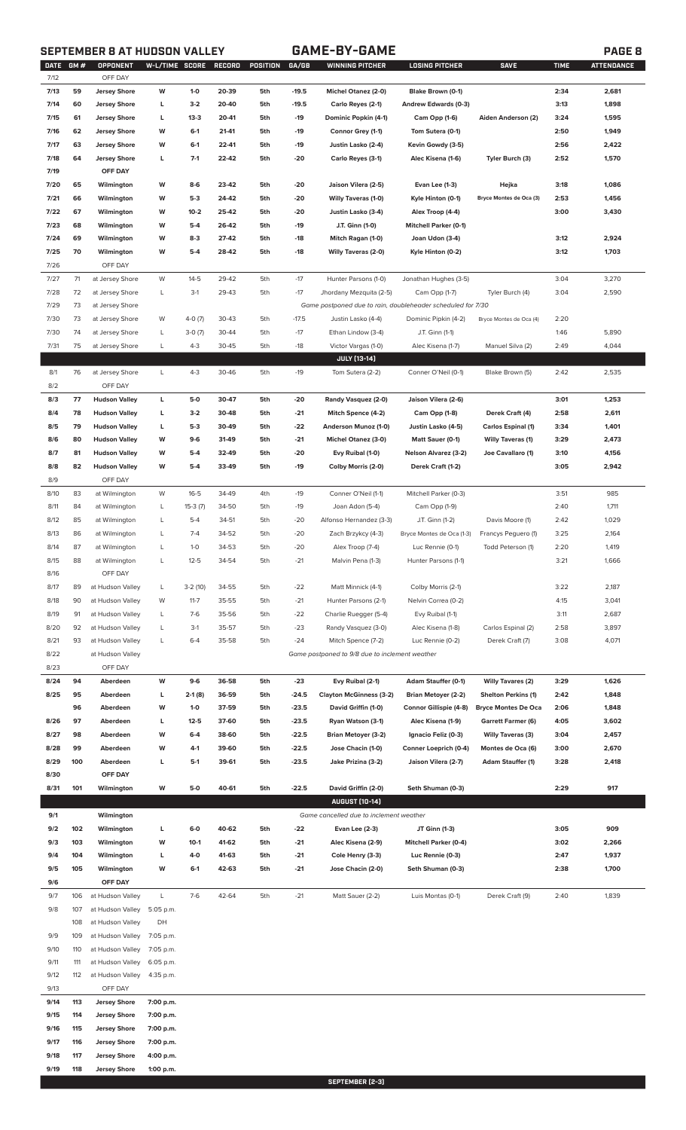# **SEPTEMBER 8 AT HUDSON VALLEY GAME-BY-GAME PAGE 8**

|--|

| DATE GM#<br>7/12 |     | OPPONENT<br>OFF DAY  | W-L/TIME SCORE |           | RECORD | POSITION | GA/GB   | <b>WINNING PITCHER</b>                                      | <b>LOSING PITCHER</b>        | <b>SAVE</b>                | <b>TIME</b> | <b>ATTENDANCE</b> |
|------------------|-----|----------------------|----------------|-----------|--------|----------|---------|-------------------------------------------------------------|------------------------------|----------------------------|-------------|-------------------|
| 7/13             | 59  | <b>Jersey Shore</b>  | W              | $1 - 0$   | 20-39  | 5th      | $-19.5$ | Michel Otanez (2-0)                                         | Blake Brown (0-1)            |                            | 2:34        | 2,681             |
|                  |     |                      |                |           |        |          | $-19.5$ |                                                             |                              |                            |             |                   |
| 7/14             | 60  | <b>Jersey Shore</b>  | L              | $3-2$     | 20-40  | 5th      |         | Carlo Reyes (2-1)                                           | Andrew Edwards (0-3)         |                            | 3:13        | 1,898             |
| 7/15             | 61  | <b>Jersey Shore</b>  | L              | $13-3$    | 20-41  | 5th      | $-19$   | Dominic Popkin (4-1)                                        | Cam Opp (1-6)                | Aiden Anderson (2)         | 3:24        | 1,595             |
| 7/16             | 62  | <b>Jersey Shore</b>  | W              | $6-1$     | 21-41  | 5th      | $-19$   | Connor Grey (1-1)                                           | Tom Sutera (0-1)             |                            | 2:50        | 1,949             |
| 7/17             | 63  | <b>Jersey Shore</b>  | W              | $6-1$     | 22-41  | 5th      | $-19$   | Justin Lasko (2-4)                                          | Kevin Gowdy (3-5)            |                            | 2:56        | 2,422             |
| 7/18             | 64  | <b>Jersey Shore</b>  | L              | $7-1$     | 22-42  | 5th      | $-20$   | Carlo Reyes (3-1)                                           | Alec Kisena (1-6)            | Tyler Burch (3)            | 2:52        | 1,570             |
| 7/19             |     | OFF DAY              |                |           |        |          |         |                                                             |                              |                            |             |                   |
| 7/20             | 65  | Wilmington           | W              | 8-6       | 23-42  | 5th      | -20     | Jaison Vilera (2-5)                                         | Evan Lee (1-3)               | Hejka                      | 3:18        | 1,086             |
| 7/21             | 66  | Wilmington           | W              | $5-3$     | 24-42  | 5th      | $-20$   | <b>Willy Taveras (1-0)</b>                                  | Kyle Hinton (0-1)            | Bryce Montes de Oca (3)    | 2:53        | 1,456             |
| 7/22             | 67  | Wilmington           | W              | $10-2$    | 25-42  | 5th      | $-20$   | Justin Lasko (3-4)                                          | Alex Troop (4-4)             |                            | 3:00        | 3,430             |
| 7/23             | 68  | Wilmington           | W              | $5-4$     | 26-42  | 5th      | $-19$   | J.T. Ginn (1-0)                                             | <b>Mitchell Parker (0-1)</b> |                            |             |                   |
| 7/24             | 69  | Wilmington           | W              | $8-3$     | 27-42  | 5th      | $-18$   | Mitch Ragan (1-0)                                           | Joan Udon (3-4)              |                            | 3:12        | 2,924             |
| 7/25             | 70  | Wilmington           | W              | $5-4$     | 28-42  | 5th      | $-18$   | <b>Willy Taveras (2-0)</b>                                  | Kyle Hinton (0-2)            |                            | 3:12        | 1,703             |
| 7/26             |     | OFF DAY              |                |           |        |          |         |                                                             |                              |                            |             |                   |
| 7/27             | 71  | at Jersey Shore      | W              | $14 - 5$  | 29-42  | 5th      | $-17$   | Hunter Parsons (1-0)                                        | Jonathan Hughes (3-5)        |                            | 3:04        | 3,270             |
|                  | 72  |                      | L              | $3-1$     | 29-43  | 5th      | $-17$   |                                                             |                              |                            |             |                   |
| 7/28             |     | at Jersey Shore      |                |           |        |          |         | Jhordany Mezquita (2-5)                                     | Cam Opp (1-7)                | Tyler Burch (4)            | 3:04        | 2,590             |
| 7/29             | 73  | at Jersey Shore      |                |           |        |          |         | Game postponed due to rain, doubleheader scheduled for 7/30 |                              |                            |             |                   |
| 7/30             | 73  | at Jersey Shore      | W              | $4-0(7)$  | 30-43  | 5th      | $-17.5$ | Justin Lasko (4-4)                                          | Dominic Pipkin (4-2)         | Bryce Montes de Oca (4)    | 2:20        |                   |
| 7/30             | 74  | at Jersey Shore      | L              | $3-0(7)$  | 30-44  | 5th      | $-17$   | Ethan Lindow (3-4)                                          | J.T. Ginn (1-1)              |                            | 1:46        | 5,890             |
| 7/31             | 75  | at Jersey Shore      | L              | $4 - 3$   | 30-45  | 5th      | $-18$   | Victor Vargas (1-0)                                         | Alec Kisena (1-7)            | Manuel Silva (2)           | 2:49        | 4,044             |
|                  |     |                      |                |           |        |          |         | <b>JULY (13-14)</b>                                         |                              |                            |             |                   |
| 8/1              | 76  | at Jersey Shore      | L              | $4 - 3$   | 30-46  | 5th      | $-19$   | Tom Sutera (2-2)                                            | Conner O'Neil (0-1)          | Blake Brown (5)            | 2:42        | 2,535             |
| 8/2              |     | OFF DAY              |                |           |        |          |         |                                                             |                              |                            |             |                   |
| 8/3              | 77  | <b>Hudson Valley</b> | L              | 5-0       | 30-47  | 5th      | -20     | Randy Vasquez (2-0)                                         | Jaison Vilera (2-6)          |                            | 3:01        | 1,253             |
| 8/4              | 78  | <b>Hudson Valley</b> | L              | $3-2$     | 30-48  | 5th      | $-21$   | Mitch Spence (4-2)                                          | Cam Opp (1-8)                | Derek Craft (4)            | 2:58        | 2,611             |
| 8/5              | 79  | <b>Hudson Valley</b> | L              | $5-3$     | 30-49  | 5th      | $-22$   | Anderson Munoz (1-0)                                        | Justin Lasko (4-5)           | Carlos Espinal (1)         | 3:34        | 1,401             |
| 8/6              | 80  | <b>Hudson Valley</b> | W              | $9-6$     | 31-49  | 5th      | $-21$   | Michel Otanez (3-0)                                         | Matt Sauer (0-1)             | <b>Willy Taveras (1)</b>   | 3:29        | 2,473             |
| 8/7              | 81  | <b>Hudson Valley</b> | W              | $5 - 4$   | 32-49  | 5th      | $-20$   | Evy Ruibal (1-0)                                            | <b>Nelson Alvarez (3-2)</b>  | Joe Cavallaro (1)          | 3:10        | 4,156             |
| 8/8              | 82  | <b>Hudson Valley</b> | W              | $5 - 4$   | 33-49  | 5th      | $-19$   | Colby Morris (2-0)                                          | Derek Craft (1-2)            |                            | 3:05        | 2,942             |
| 8/9              |     | OFF DAY              |                |           |        |          |         |                                                             |                              |                            |             |                   |
| 8/10             | 83  | at Wilmington        | W              | $16 - 5$  | 34-49  | 4th      | $-19$   | Conner O'Neil (1-1)                                         | Mitchell Parker (0-3)        |                            | 3:51        | 985               |
| 8/11             | 84  | at Wilmington        | L              |           | 34-50  | 5th      | $-19$   | Joan Adon (5-4)                                             |                              |                            | 2:40        | 1,711             |
|                  |     |                      |                | $15-3(7)$ |        |          |         |                                                             | Cam Opp (1-9)                |                            |             |                   |
| 8/12             | 85  | at Wilmington        | L              | $5 - 4$   | 34-51  | 5th      | $-20$   | Alfonso Hernandez (3-3)                                     | J.T. Ginn (1-2)              | Davis Moore (1)            | 2:42        | 1,029             |
| 8/13             | 86  | at Wilmington        | L              | $7 - 4$   | 34-52  | 5th      | $-20$   | Zach Brzykcy (4-3)                                          | Bryce Montes de Oca (1-3)    | Francys Peguero (1)        | 3:25        | 2,164             |
| 8/14             | 87  | at Wilmington        | L              | $1-0$     | 34-53  | 5th      | $-20$   | Alex Troop (7-4)                                            | Luc Rennie (0-1)             | Todd Peterson (1)          | 2:20        | 1,419             |
| 8/15             | 88  | at Wilmington        | L              | $12 - 5$  | 34-54  | 5th      | $-21$   | Malvin Pena (1-3)                                           | Hunter Parsons (1-1)         |                            | 3:21        | 1,666             |
| 8/16             |     | OFF DAY              |                |           |        |          |         |                                                             |                              |                            |             |                   |
| 8/17             | 89  | at Hudson Valley     | L              | $3-2(10)$ | 34-55  | 5th      | $-22$   | Matt Minnick (4-1)                                          | Colby Morris (2-1)           |                            | 3:22        | 2,187             |
| 8/18             | 90  | at Hudson Valley     | W              | $11 - 7$  | 35-55  | 5th      | $-21$   | Hunter Parsons (2-1)                                        | Nelvin Correa (0-2)          |                            | 4:15        | 3,041             |
| 8/19             | 91  | at Hudson Valley     | L              | $7-6$     | 35-56  | 5th      | $-22$   | Charlie Ruegger (5-4)                                       | Evy Ruibal (1-1)             |                            | 3:11        | 2,687             |
| 8/20             | 92  | at Hudson Valley     | L              | $3-1$     | 35-57  | 5th      | $-23$   | Randy Vasquez (3-0)                                         | Alec Kisena (1-8)            | Carlos Espinal (2)         | 2:58        | 3,897             |
| 8/21             | 93  | at Hudson Valley     | L              | $6 - 4$   | 35-58  | 5th      | $-24$   | Mitch Spence (7-2)                                          | Luc Rennie (0-2)             | Derek Craft (7)            | 3:08        | 4,071             |
| 8/22             |     | at Hudson Valley     |                |           |        |          |         | Game postponed to 9/8 due to inclement weather              |                              |                            |             |                   |
| 8/23             |     | OFF DAY              |                |           |        |          |         |                                                             |                              |                            |             |                   |
| 8/24             | 94  | Aberdeen             | W              | $9-6$     | 36-58  | 5th      | $-23$   | Evy Ruibal (2-1)                                            | Adam Stauffer (0-1)          | <b>Willy Tavares (2)</b>   | 3:29        | 1,626             |
| 8/25             | 95  | Aberdeen             | L              | $2-1(8)$  | 36-59  | 5th      | $-24.5$ | <b>Clayton McGinness (3-2)</b>                              | <b>Brian Metoyer (2-2)</b>   | <b>Shelton Perkins (1)</b> | 2:42        | 1,848             |
|                  | 96  | Aberdeen             | W              | $1-0$     | 37-59  | 5th      | $-23.5$ | David Griffin (1-0)                                         | Connor Gillispie (4-8)       | <b>Bryce Montes De Oca</b> | 2:06        | 1,848             |
| 8/26             | 97  | Aberdeen             | L              | $12 - 5$  | 37-60  | 5th      | $-23.5$ | Ryan Watson (3-1)                                           | Alec Kisena (1-9)            | <b>Garrett Farmer (6)</b>  | 4:05        | 3,602             |
| 8/27             | 98  | Aberdeen             | W              | 6-4       | 38-60  | 5th      | $-22.5$ | <b>Brian Metoyer (3-2)</b>                                  | Ignacio Feliz (0-3)          | <b>Willy Taveras (3)</b>   | 3:04        | 2,457             |
| 8/28             | 99  | Aberdeen             | W              | 4-1       | 39-60  | 5th      | $-22.5$ | Jose Chacin (1-0)                                           | Conner Loeprich (0-4)        | Montes de Oca (6)          | 3:00        | 2,670             |
| 8/29             | 100 | Aberdeen             | L              | $5-1$     | 39-61  | 5th      | -23.5   |                                                             |                              |                            | 3:28        | 2,418             |
|                  |     |                      |                |           |        |          |         | Jake Prizina (3-2)                                          | Jaison Vilera (2-7)          | <b>Adam Stauffer (1)</b>   |             |                   |
| 8/30             |     | OFF DAY              |                |           |        |          |         |                                                             |                              |                            |             |                   |
| 8/31             | 101 | Wilmington           | W              | 5-0       | 40-61  | 5th      | $-22.5$ | David Griffin (2-0)                                         | Seth Shuman (0-3)            |                            | 2:29        | 917               |
|                  |     |                      |                |           |        |          |         | <b>AUGUST [10-14]</b>                                       |                              |                            |             |                   |
| 9/1              |     | Wilmington           |                |           |        |          |         | Game cancelled due to inclement weather                     |                              |                            |             |                   |
| 9/2              | 102 | Wilmington           | L              | $6-0$     | 40-62  | 5th      | -22     | <b>Evan Lee (2-3)</b>                                       | JT Ginn (1-3)                |                            | 3:05        | 909               |
| 9/3              | 103 | Wilmington           | W              | $10-1$    | 41-62  | 5th      | $-21$   | Alec Kisena (2-9)                                           | <b>Mitchell Parker (0-4)</b> |                            | 3:02        | 2,266             |
| 9/4              | 104 | Wilmington           | L              | 4-0       | 41-63  | 5th      | $-21$   | Cole Henry (3-3)                                            | Luc Rennie (0-3)             |                            | 2:47        | 1,937             |
| 9/5              | 105 | Wilmington           | W              | $6-1$     | 42-63  | 5th      | $-21$   | Jose Chacin (2-0)                                           | Seth Shuman (0-3)            |                            | 2:38        | 1,700             |
| 9/6              |     | OFF DAY              |                |           |        |          |         |                                                             |                              |                            |             |                   |
| 9/7              | 106 | at Hudson Valley     | L              | $7-6$     | 42-64  | 5th      | $-21$   | Matt Sauer (2-2)                                            | Luis Montas (0-1)            | Derek Craft (9)            | 2:40        | 1,839             |
| 9/8              | 107 | at Hudson Valley     | 5:05 p.m.      |           |        |          |         |                                                             |                              |                            |             |                   |
|                  | 108 | at Hudson Valley     | DH             |           |        |          |         |                                                             |                              |                            |             |                   |
| 9/9              | 109 | at Hudson Valley     | 7:05 p.m.      |           |        |          |         |                                                             |                              |                            |             |                   |
| 9/10             | 110 | at Hudson Valley     | 7:05 p.m.      |           |        |          |         |                                                             |                              |                            |             |                   |
| 9/11             | 111 | at Hudson Valley     | 6:05 p.m.      |           |        |          |         |                                                             |                              |                            |             |                   |
| 9/12             | 112 | at Hudson Valley     | 4:35 p.m.      |           |        |          |         |                                                             |                              |                            |             |                   |
| 9/13             |     | OFF DAY              |                |           |        |          |         |                                                             |                              |                            |             |                   |
|                  |     |                      |                |           |        |          |         |                                                             |                              |                            |             |                   |
| 9/14             | 113 | <b>Jersey Shore</b>  | 7:00 p.m.      |           |        |          |         |                                                             |                              |                            |             |                   |
| 9/15             | 114 | <b>Jersey Shore</b>  | 7:00 p.m.      |           |        |          |         |                                                             |                              |                            |             |                   |
| 9/16             | 115 | <b>Jersey Shore</b>  | 7:00 p.m.      |           |        |          |         |                                                             |                              |                            |             |                   |
| 9/17             | 116 | <b>Jersey Shore</b>  | 7:00 p.m.      |           |        |          |         |                                                             |                              |                            |             |                   |
| 9/18             | 117 | <b>Jersey Shore</b>  | 4:00 p.m.      |           |        |          |         |                                                             |                              |                            |             |                   |
| 9/19             | 118 | <b>Jersey Shore</b>  | 1:00 p.m.      |           |        |          |         |                                                             |                              |                            |             |                   |
|                  |     |                      |                |           |        |          |         | SEPTEMBER [2-3]                                             |                              |                            |             |                   |